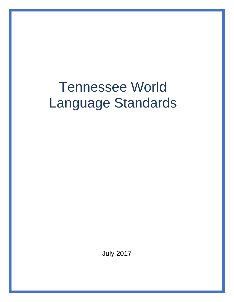# Tennessee World Language Standards

July 2017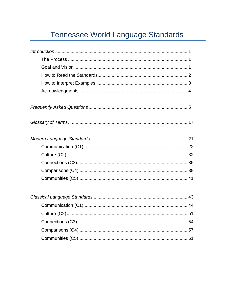# Tennessee World Language Standards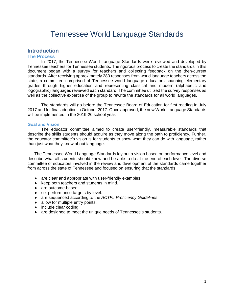## Tennessee World Language Standards

#### **Introduction**

#### **The Process**

In 2017, the Tennessee World Language Standards were reviewed and developed by Tennessee teachers for Tennessee students. The rigorous process to create the standards in this document began with a survey for teachers and collecting feedback on the then-current standards. After receiving approximately 280 responses from world language teachers across the state, a committee comprised of Tennessee world language educators spanning elementary grades through higher education and representing classical and modern (alphabetic and logographic) languages reviewed each standard. The committee utilized the survey responses as well as the collective expertise of the group to rewrite the standards for all world languages.

The standards will go before the Tennessee Board of Education for first reading in July 2017 and for final adoption in October 2017. Once approved, the new World Language Standards will be implemented in the 2019-20 school year.

#### **Goal and Vision**

The educator committee aimed to create user-friendly, measurable standards that describe the skills students should acquire as they move along the path to proficiency. Further, the educator committee's vision is for students to show what they can do with language, rather than just what they know about language.

The Tennessee World Language Standards lay out a vision based on performance level and describe what all students should know and be able to do at the end of each level. The diverse committee of educators involved in the review and development of the standards came together from across the state of Tennessee and focused on ensuring that the standards:

- are clear and appropriate with user-friendly examples.
- keep both teachers and students in mind.
- are outcome-based.
- set performance targets by level.
- are sequenced according to the *ACTFL Proficiency Guidelines*.
- allow for multiple entry points.
- include clear coding.
- are designed to meet the unique needs of Tennessee's students.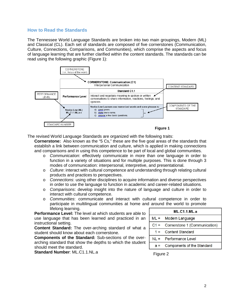#### **How to Read the Standards**

The Tennessee World Language Standards are broken into two main groupings, Modern (ML) and Classical (CL). Each set of standards are composed of five cornerstones (Communication, Culture, Connections, Comparisons, and Communities), which comprise the aspects and focus of language learning that are further clarified within the content standards. The standards can be read using the following graphic (Figure 1):



The revised World Language Standards are organized with the following traits:

**Cornerstone:** Also known as the "5 Cs," these are the five goal areas of the standards that establish a link between communication and culture, which is applied in making connections and comparisons and in using this competence to be part of local and global communities.

- o *Communication*: effectively communicate in more than one language in order to function in a variety of situations and for multiple purposes. This is done through 3 modes of communication: interpersonal, interpretive, and presentational.
- o *Culture*: interact with cultural competence and understanding through relating cultural products and practices to perspectives.
- o *Connections*: using other disciplines to acquire information and diverse perspectives in order to use the language to function in academic and career-related situations.
- o *Comparisons*: develop insight into the nature of language and culture in order to interact with cultural competence.
- o *Communities*: communicate and interact with cultural competence in order to participate in multilingual communities at home and around the world to promote lifelong learning.

**Performance Level:** The level at which students are able to use language that has been learned and practiced in an instructional setting.

**Content Standard:** The over-arching standard of what a student should know about each cornerstone.

**Components of the Standard:** Sub-sections of the overarching standard that show the depths to which the student should meet the standard.

**Standard Number**: ML.C1.1.NL.a

|        | ML.C1.1.ML.a                      |
|--------|-----------------------------------|
| $ML =$ | Modern Language                   |
| $C1 =$ | Cornerstone 1 (Communication)     |
| $1 =$  | <b>Content Standard</b>           |
| $N =$  | Performance Level                 |
|        | <b>Components of the Standard</b> |

Figure 2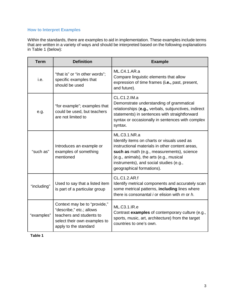#### **How to Interpret Examples**

Within the standards, there are examples to aid in implementation. These examples include terms that are written in a variety of ways and should be interpreted based on the following explanations in Table 1 (below):

| <b>Term</b> | <b>Definition</b>                                                                                                                             | <b>Example</b>                                                                                                                                                                                                                                                                   |
|-------------|-----------------------------------------------------------------------------------------------------------------------------------------------|----------------------------------------------------------------------------------------------------------------------------------------------------------------------------------------------------------------------------------------------------------------------------------|
| i.e.        | "that is" or "in other words";<br>specific examples that<br>should be used                                                                    | ML.C4.1.AR.a<br>Compare linguistic elements that allow<br>expression of time frames (i.e., past, present,<br>and future).                                                                                                                                                        |
| e.g.        | "for example"; examples that<br>could be used, but teachers<br>are not limited to                                                             | CL.C1.2.IM.a<br>Demonstrate understanding of grammatical<br>relationships (e.g., verbals, subjunctives, indirect<br>statements) in sentences with straightforward<br>syntax or occasionally in sentences with complex<br>syntax.                                                 |
| "such as"   | Introduces an example or<br>examples of something<br>mentioned                                                                                | ML.C3.1.NR.a<br>Identify items on charts or visuals used as<br>instructional materials in other content areas,<br>such as math (e.g., measurements), science<br>(e.g., animals), the arts (e.g., musical<br>instruments), and social studies (e.g.,<br>geographical formations). |
| "including" | Used to say that a listed item<br>is part of a particular group                                                                               | <b>CL.C1.2.AR.f</b><br>Identify metrical components and accurately scan<br>some metrical patterns, including lines where<br>there is consonantal $i$ or elision with $m$ or $h$ .                                                                                                |
| "examples"  | Context may be to "provide,"<br>"describe," etc.; allows<br>teachers and students to<br>select their own examples to<br>apply to the standard | ML.C3.1.IR.e<br>Contrast examples of contemporary culture (e.g.,<br>sports, music, art, architecture) from the target<br>countries to one's own.                                                                                                                                 |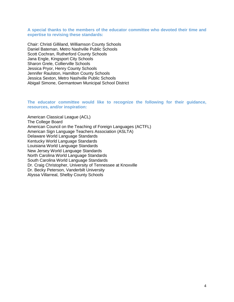#### **A special thanks to the members of the educator committee who devoted their time and expertise to revising these standards:**

Chair: Christi Gilliland, Williamson County Schools Daniel Bateman, Metro Nashville Public Schools Scott Cochran, Rutherford County Schools Jana Engle, Kingsport City Schools Sharon Grele, Collierville Schools Jessica Pryor, Henry County Schools Jennifer Raulston, Hamilton County Schools Jessica Sexton, Metro Nashville Public Schools Abigail Simone, Germantown Municipal School District

**The educator committee would like to recognize the following for their guidance, resources, and/or inspiration:**

American Classical League (ACL) The College Board American Council on the Teaching of Foreign Languages (ACTFL) American Sign Language Teachers Association (ASLTA) Delaware World Language Standards Kentucky World Language Standards Louisiana World Language Standards New Jersey World Language Standards North Carolina World Language Standards South Carolina World Language Standards Dr. Craig Christopher, University of Tennessee at Knoxville Dr. Becky Peterson, Vanderbilt University Alyssa Villarreal, Shelby County Schools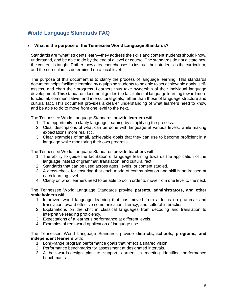### **World Language Standards FAQ**

#### • **What is the purpose of the Tennessee World Language Standards?**

Standards are "what" students learn—they address the skills and content students should know, understand, and be able to do by the end of a level or course. The standards do not dictate how the content is taught. Rather, how a teacher chooses to instruct their students is the curriculum, and the curriculum is determined on a local level.

The purpose of this document is to clarify the process of language learning. This standards document helps facilitate learning by equipping students to be able to set achievable goals, selfassess, and chart their progress. Learners thus take ownership of their individual language development. This standards document guides the facilitation of language learning toward more functional, communicative, and intercultural goals, rather than those of language structure and cultural fact. This document provides a clearer understanding of what learners need to know and be able to do to move from one level to the next.

The Tennessee World Language Standards provide **learners** with:

- 1. The opportunity to clarify language learning by simplifying the process.
- 2. Clear descriptions of what can be done with language at various levels, while making expectations more realistic.
- 3. Clear examples of small, achievable goals that they can use to become proficient in a language while monitoring their own progress.

The Tennessee World Language Standards provide **teachers** with:

- 1. The ability to guide the facilitation of language learning towards the application of the language instead of grammar, translation, and cultural fact.
- 2. Standards that can be used across ages, levels, or content studied.
- 3. A cross-check for ensuring that each mode of communication and skill is addressed at each learning level.
- 4. Clarity on what learners need to be able to do in order to move from one level to the next.

The Tennessee World Language Standards provide **parents, administrators, and other stakeholders** with:

- 1. Improved world language learning that has moved from a focus on grammar and translation toward effective communication, literacy, and cultural interaction.
- 2. Explanations on the shift in classical languages from decoding and translation to interpretive reading proficiency.
- 3. Expectations of a learner's performance at different levels.
- 4. Examples of real-world application of language use.

The Tennessee World Language Standards provide **districts, schools, programs, and independent learners** with:

- 1. Long-range program performance goals that reflect a shared vision.
- 2. Performance benchmarks for assessment at designated intervals.
- 3. A backwards-design plan to support learners in meeting identified performance benchmarks.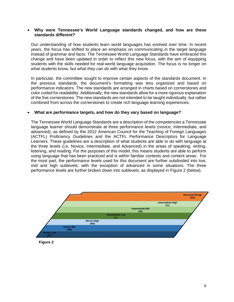#### • **Why were Tennessee's World Language standards changed, and how are these standards different?**

Our understanding of how students learn world languages has evolved over time. In recent years, the focus has shifted to place an emphasis on communicating in the target language instead of grammar and facts. The Tennessee World Language Standards have embraced this change and have been updated in order to reflect this new focus, with the aim of equipping students with the skills needed for real-world language acquisition. The focus is no longer on *what* students know, but *what they can do* with what they know.

In particular, the committee sought to improve certain aspects of the standards document. In the previous standards, the document's formatting was less organized and based on performance indicators. The new standards are arranged in charts based on cornerstones and color coded for readability. Additionally, the new standards allow for a more rigorous explanation of the five cornerstones. The new standards are not intended to be taught individually, but rather combined from across the cornerstones to create rich language learning experiences.

#### • **What are performance targets, and how do they vary based on language?**

The Tennessee World Language Standards are a description of the competencies a Tennessee language learner should demonstrate at three performance levels (novice, intermediate, and advanced), as defined by the 2012 American Council for the Teaching of Foreign Languages (ACTFL) Proficiency Guidelines and the ACTFL Performance Descriptors for Language Learners. These guidelines are a description of what students are able to do with language at the three levels (i.e. Novice, Intermediate, and Advanced) in the areas of speaking, writing, listening, and reading. For the purposes of this model, this means students are able to perform using language that has been practiced and is within familiar contexts and content areas. For the most part, the performance levels used for this document are further subdivided into low, mid and high sublevels, with the exception of advanced in some situations. The three performance levels are further broken down into sublevels, as displayed in Figure 2 (below).



**Figure 2**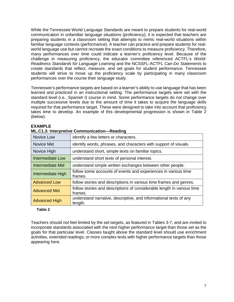While the Tennessee World Language Standards are meant to prepare students for real-world communication in unfamiliar language situations (proficiency), it is expected that teachers are preparing students in a classroom setting that attempts to mimic real-world situations within familiar language contexts (performance). A teacher can practice and prepare students for realworld language use but cannot recreate the exact conditions to measure proficiency. Therefore, many performances over time could indicate a learner's proficiency level. Because of the challenge in measuring proficiency, the educator committee referenced ACTFL's *World-Readiness Standards for Language Learning* and the NCSSFL-ACTFL *Can-Do Statements* to create standards that reflect, measure, and set goals for student performance. Tennessee students will strive to move up the proficiency scale by participating in many classroom performances over the course their language study.

Tennessee's performance targets are based on a learner's ability to use language that has been learned and practiced in an instructional setting. The performance targets were set with the standard level (i.e., Spanish I) course in mind. Some performance targets do not change over multiple successive levels due to the amount of time it takes to acquire the language skills required for that performance target. These were designed to take into account that proficiency takes time to develop. An example of this developmental progression is shown in Table 2 (below).

| Novice Low           | identify a few letters or characters.                                             |
|----------------------|-----------------------------------------------------------------------------------|
| Novice Mid           | identify words, phrases, and characters with support of visuals.                  |
| Novice High          | understand short, simple texts on familiar topics.                                |
| Intermediate Low     | understand short texts of personal interest.                                      |
| Intermediate Mid     | understand simple written exchanges between other people.                         |
| Intermediate High    | follow some accounts of events and experiences in various time<br>frames.         |
| <b>Advanced Low</b>  | follow stories and descriptions in various time frames and genres.                |
| <b>Advanced Mid</b>  | follow stories and descriptions of considerable length in various time<br>frames. |
| <b>Advanced High</b> | understand narrative, descriptive, and informational texts of any<br>length.      |

#### **EXAMPLE**

|  | ML.C1.3: Interpretive Communication-Reading |  |
|--|---------------------------------------------|--|
|  |                                             |  |

### **Table 2**

Teachers should not feel limited by the set targets, as featured in Tables 3-7, and are invited to incorporate standards associated with the next higher performance target than those set as the goals for that particular level. Classes taught above the standard level should use enrichment activities, extended readings, or more complex texts with higher performance targets than those appearing here.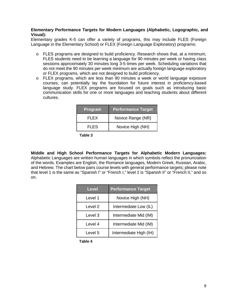#### **Elementary Performance Targets for Modern Languages (Alphabetic, Logographic, and Visual):**

Elementary grades K-5 can offer a variety of programs, this may include FLES (Foreign Language in the Elementary School) or FLEX (Foreign Language Exploratory) programs:

- o FLES programs are designed to build proficiency. Research shows that, at a minimum, FLES students need to be learning a language for 90 minutes per week or having class sessions approximately 30 minutes long 3-5 times per week. Scheduling variations that do not meet the 90 minutes per week minimum are actually foreign language exploratory or FLEX programs, which are not designed to build proficiency.
- o FLEX programs, which are less than 90 minutes a week or world language exposure courses, can potentially lay the foundation for future interest in proficiency-based language study. FLEX programs are focused on goals such as introducing basic communication skills for one or more languages and teaching students about different cultures.

| <b>Program</b> | <b>Performance Target</b> |
|----------------|---------------------------|
| FI FX          | Novice Range (NR)         |
| FI FS          | Novice High (NH)          |

**Table 3**

**Middle and High School Performance Targets for Alphabetic Modern Languages:**  Alphabetic Languages are written human languages in which symbols reflect the pronunciation of the words. Examples are English, the Romance languages, Modern Greek, Russian, Arabic, and Hebrew. The chart below pairs course levels with general performance targets; please note that level 1 is the same as "Spanish I" or "French I," level 2 is "Spanish II" or "French II," and so on.

| <b>Level</b> | <b>Performance Target</b> |
|--------------|---------------------------|
| Level 1      | Novice High (NH)          |
| Level 2      | Intermediate Low (IL)     |
| Level 3      | Intermediate Mid (IM)     |
| Level 4      | Intermediate Mid (IM)     |
| Level 5      | Intermediate High (IH)    |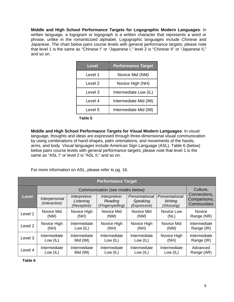**Middle and High School Performance Targets for Logographic Modern Languages**: In written language, a logogram or logograph is a written character that represents a word or phrase, unlike in the romanticized alphabet. Logographic languages include Chinese and Japanese. The chart below pairs course levels with general performance targets; please note that level 1 is the same as "Chinese I" or "Japanese I," level 2 is "Chinese II" or "Japanese II," and so on.

| <b>Level</b> | <b>Performance Target</b> |
|--------------|---------------------------|
| Level 1      | Novice Mid (NM)           |
| Level 2      | Novice High (NH)          |
| Level 3      | Intermediate Low (IL)     |
| Level 4      | Intermediate Mid (IM)     |
| Level 5      | Intermediate Mid (IM)     |

**Table 5**

**Middle and High School Performance Targets for Visual Modern Languages**: In visual language, thoughts and ideas are expressed through three-dimensional visual communication by using combinations of hand-shapes, palm orientations, and movements of the hands, arms, and body. Visual languages include American Sign Language (ASL). Table 6 (below) below pairs course levels with general performance targets; please note that level 1 is the same as "ASL I" or level 2 is "ASL II," and so on.

For more information on ASL, please refer to pg. 16.

| <b>Performance Target</b> |                                |                                           |                                              |                                             |                                          |                                             |
|---------------------------|--------------------------------|-------------------------------------------|----------------------------------------------|---------------------------------------------|------------------------------------------|---------------------------------------------|
|                           |                                |                                           | Communication (see modes below)              |                                             |                                          | Culture,                                    |
| Level                     | Interpersonal<br>(Interactive) | Interpretive:<br>Listening<br>(Receptive) | Interpretive:<br>Reading<br>(Fingerspelling) | Presentational:<br>Speaking<br>(Expressive) | Presentational:<br>Writing<br>(Glossing) | Connections,<br>Comparisons,<br>Communities |
| Level 1                   | Novice Mid                     | Novice High                               | Novice Mid                                   | Novice Mid                                  | Novice Low                               | <b>Novice</b>                               |
|                           | (NM)                           | (NH)                                      | (NM)                                         | (NM)                                        | (NL)                                     | Range (NR)                                  |
| Level <sub>2</sub>        | Novice High                    | Intermediate                              | Novice High                                  | Novice High                                 | Novice Mid                               | Intermediate                                |
|                           | (NH)                           | Low $(IL)$                                | (NH)                                         | (NH)                                        | (NM)                                     | Range (IR)                                  |
| Level 3                   | Intermediate                   | Intermediate                              | Intermediate                                 | Intermediate                                | Novice High                              | Intermediate                                |
|                           | Low $(IL)$                     | Mid (IM)                                  | Low $(IL)$                                   | Low $(IL)$                                  | (NH)                                     | Range (IR)                                  |
| Level 4                   | Intermediate                   | Intermediate                              | Intermediate                                 | Intermediate                                | Intermediate                             | Advanced                                    |
|                           | Low $(IL)$                     | Mid (IM)                                  | Low $(IL)$                                   | Low $(IL)$                                  | Low (IL)                                 | Range (AR)                                  |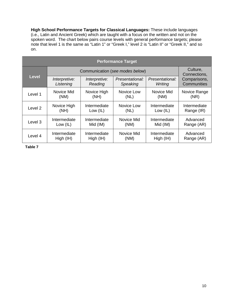**High School Performance Targets for Classical Languages:** These include languages (i.e., Latin and Ancient Greek) which are taught with a focus on the written and not on the spoken word. The chart below pairs course levels with general performance targets; please note that level 1 is the same as "Latin 1" or "Greek I," level 2 is "Latin II" or "Greek II," and so on.

| <b>Performance Target</b> |               |               |                                 |                 |                          |
|---------------------------|---------------|---------------|---------------------------------|-----------------|--------------------------|
|                           |               |               | Communication (see modes below) |                 | Culture,<br>Connections, |
| <b>Level</b>              | Interpretive: | Interpretive: | Presentational:                 | Presentational: | Comparisons,             |
|                           | Listening     | Reading       | Speaking                        | Writing         | Communities              |
| Level 1                   | Novice Mid    | Novice High   | Novice Low                      | Novice Mid      | Novice Range             |
|                           | (NM)          | (NH)          | (NL)                            | (NM)            | (NR)                     |
| Level <sub>2</sub>        | Novice High   | Intermediate  | Novice Low                      | Intermediate    | Intermediate             |
|                           | (NH)          | Low $(IL)$    | (NL)                            | Low $(IL)$      | Range (IR)               |
| Level 3                   | Intermediate  | Intermediate  | Novice Mid                      | Intermediate    | Advanced                 |
|                           | Low $(IL)$    | Mid (IM)      | (NM)                            | Mid (IM)        | Range (AR)               |
| Level 4                   | Intermediate  | Intermediate  | Novice Mid                      | Intermediate    | Advanced                 |
|                           | High (IH)     | High (IH)     | (NM)                            | High (IH)       | Range (AR)               |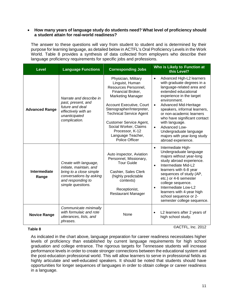#### • **How many years of language study do students need? What level of proficiency should a student attain for real-world readiness?**

The answer to these questions will vary from student to student and is determined by their purpose for learning language, as detailed below in ACTFL's Oral Proficiency Levels in the Work World. Table 8 provides a synthesis of data collected from employers who describe their language proficiency requirements for specific jobs and professions.

|                                                                                                               | <b>Level</b>                                                                                                                                       | <b>Language Functions</b>                                                                                                                        | <b>Corresponding Jobs</b>                                                                                                                                                                                                                                                                                                | Who is Likely to Function at<br>this Level?                                                                                                                                                                                                                                                                                                                                                                                                   |
|---------------------------------------------------------------------------------------------------------------|----------------------------------------------------------------------------------------------------------------------------------------------------|--------------------------------------------------------------------------------------------------------------------------------------------------|--------------------------------------------------------------------------------------------------------------------------------------------------------------------------------------------------------------------------------------------------------------------------------------------------------------------------|-----------------------------------------------------------------------------------------------------------------------------------------------------------------------------------------------------------------------------------------------------------------------------------------------------------------------------------------------------------------------------------------------------------------------------------------------|
|                                                                                                               | Narrate and describe in<br>past, present, and<br>future and deal<br><b>Advanced Range</b><br>effectively with an<br>unanticipated<br>complication. |                                                                                                                                                  | Physician, Military<br>Linguist, Human<br>Resources Personnel,<br>Financial Broker,<br><b>Marketing Manager</b><br>Account Executive, Court<br>Stenographer/Interpreter,<br><b>Technical Service Agent</b><br>Customer Service Agent,<br>Social Worker, Claims<br>Processor, K-12<br>Language Teacher,<br>Police Officer | Advanced High-L2 learners<br>$\bullet$<br>with graduate degrees in a<br>language-related area and<br>extended educational<br>experience in the target<br>environment.<br>Advanced Mid-Heritage<br>$\bullet$<br>speakers, informal learners,<br>or non-academic learners<br>who have significant contact<br>with language.<br><b>Advanced Low-</b><br>$\bullet$<br>Undergraduate language<br>majors with year-long study<br>abroad experience. |
|                                                                                                               | Intermediate<br>Range                                                                                                                              | Create with language,<br>initiate, maintain, and<br>bring to a close simple<br>conversations by asking<br>and responding to<br>simple questions. | Auto inspector, Aviation<br>Personnel, Missionary,<br><b>Tour Guide</b><br>Cashier, Sales Clerk<br>(highly predictable<br>contexts)<br>Receptionist,<br><b>Restaurant Manager</b>                                                                                                                                        | Intermediate High-<br>$\bullet$<br>Undergraduate language<br>majors without year-long<br>study abroad experience.<br>Intermediate Mid-L2<br>$\bullet$<br>learners with 6-8 year<br>sequences of study (AP,<br>etc.) or 4-6 semester<br>college sequence.<br>Intermediate Low-L2<br>learners with 4-year high<br>school sequence or 2-<br>semester college sequence.                                                                           |
| Communicate minimally<br>with formulaic and rote<br><b>Novice Range</b><br>utterances, lists, and<br>phrases. |                                                                                                                                                    | None                                                                                                                                             | L2 learners after 2 years of<br>$\bullet$<br>high school study.                                                                                                                                                                                                                                                          |                                                                                                                                                                                                                                                                                                                                                                                                                                               |

#### **Table 8**

©ACTFL, Inc. 2012

As indicated in the chart above, language preparation for career readiness necessitates higher levels of proficiency than established by current language requirements for high school graduation and college entrance. The rigorous targets for Tennessee students will increase performance levels in order to create stronger connections between the educational system and the post-education professional world. This will allow learners to serve in professional fields as highly articulate and well-educated speakers. It should be noted that students should have opportunities for longer sequences of languages in order to obtain college or career readiness in a language.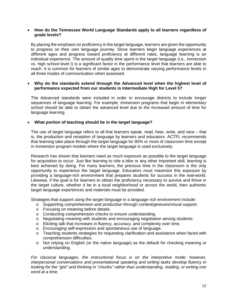#### • **How do the Tennessee World Language Standards apply to all learners regardless of grade levels?**

By placing the emphasis on proficiency in the target language, learners are given the opportunity to progress on their own language journey. Since learners begin language experiences at different ages and progress toward proficiency at different rates, language learning is an individual experience. The amount of quality time spent in the target language (i.e., immersion vs. high school level I) is a significant factor in the performance level that learners are able to reach. It is common for learners of similar ages to demonstrate varying performance levels in all three modes of communication when assessed.

#### • **Why do the standards extend through the Advanced level when the highest level of performance expected from our students is Intermediate High for Level 5?**

The Advanced standards were included in order to encourage districts to include longer sequences of language learning. For example, immersion programs that begin in elementary school should be able to obtain the advanced level due to the increased amount of time for language learning.

#### • **What portion of teaching should be in the target language?**

The use of target language refers to all that learners speak, read, hear, write, and view – that is, the production and reception of language by learners and educators. ACTFL recommends that learning take place through the target language for 90% or more of classroom time except in immersion program models where the target language is used exclusively.

Research has shown that learners need as much exposure as possible to the target language for acquisition to occur. Just like learning to ride a bike or any other important skill, learning is best achieved by doing. For many learners, the precious time in the classroom is the only opportunity to experience the target language. Educators must maximize this exposure by providing a language-rich environment that prepares students for success in the real-world. Likewise, if the goal is for learners to obtain the proficiency necessary to survive and thrive in the target culture, whether it be in a local neighborhood or across the world, then authentic target language experiences and materials must be provided.

Strategies that support using the target language in a language rich environment include:

- o Supporting comprehension and production through context/gestures/visual support.
- o Focusing on meaning before details.
- o Conducting comprehension checks to ensure understanding.
- o Negotiating meaning with students and encouraging negotiation among students.
- o Eliciting talk that increases in fluency, accuracy, and complexity over time.
- o Encouraging self-expression and spontaneous use of language.
- o Teaching students strategies for requesting clarification and assistance when faced with comprehension difficulties.
- o Not relying on English (or the native language) as the default for checking meaning or understanding.

*For classical languages, the instructional focus is on the interpretive mode; however, interpersonal conversations and presentational speaking and writing tasks develop fluency in looking for the "gist" and thinking in "chunks" rather than understanding, reading, or writing one word at a time.*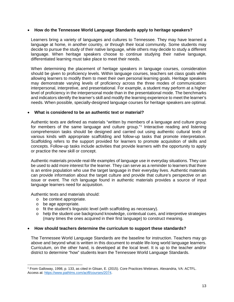#### • **How do the Tennessee World Language Standards apply to heritage speakers?**

Learners bring a variety of languages and cultures to Tennessee. They may have learned a language at home, in another country, or through their local community. Some students may decide to pursue the study of their native language, while others may decide to study a different language. When heritage speakers choose to continue studying their native language, differentiated learning must take place to meet their needs.

When determining the placement of heritage speakers in language courses, consideration should be given to proficiency levels. Within language courses, teachers set class goals while allowing learners to modify them to meet their own personal learning goals. Heritage speakers may demonstrate varying levels of proficiency across the three modes of communication: interpersonal, interpretive, and presentational. For example, a student may perform at a higher level of proficiency in the interpersonal mode than in the presentational mode. The benchmarks and indicators identify the learner's skill and modify the learning experience to meet the learner's needs. When possible, specially-designed language courses for heritage speakers are optimal.

#### • **What is considered to be an authentic text or material?**

Authentic texts are defined as materials "written by members of a language and culture group for members of the same language and culture group."<sup>[1](#page-14-0)</sup> Interactive reading and listening comprehension tasks should be designed and carried out using authentic cultural texts of various kinds with appropriate scaffolding and follow-up tasks that promote interpretation. Scaffolding refers to the support provided for learners to promote acquisition of skills and concepts. Follow-up tasks include activities that provide learners with the opportunity to apply or practice the new skill or concept.

Authentic materials provide real-life examples of language use in everyday situations. They can be used to add more interest for the learner. They can serve as a reminder to learners that there is an entire population who use the target language in their everyday lives. Authentic materials can provide information about the target culture and provide that culture's perspective on an issue or event. The rich language found in authentic materials provides a source of input language learners need for acquisition.

Authentic texts and materials should:

- o be context appropriate.
- o be age appropriate.

 $\overline{a}$ 

- o fit the student's linguistic level (with scaffolding as necessary).
- o help the student use background knowledge, contextual cues, and interpretive strategies (many times the ones acquired in their first language) to construct meaning.

#### • **How should teachers determine the curriculum to support these standards?**

The Tennessee World Language Standards are the baseline for instruction. Teachers may go above and beyond what is written in this document to enable life-long world language learners. Curriculum, on the other hand, is developed at the local level. It is up to the teacher and/or district to determine "how" students learn the Tennessee World Language Standards.

<span id="page-14-0"></span><sup>1</sup> From Galloway, 1998, p. 133, as cited in Glisan, E. (2015). Core Practices Webinars. Alexandria, VA: ACTFL. Access at: [https://www.pathlms.com/actfl/courses/2074.](https://www.pathlms.com/actfl/courses/2074)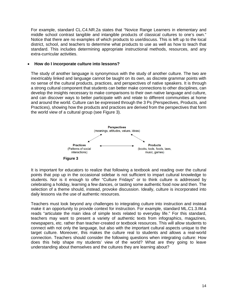For example, standard CL.C4.NR.2a states that "Novice Range Learners in elementary and middle school contrast tangible and intangible products of classical cultures to one's own." Notice that there are no examples of which products to use/discuss. This is left up to the local district, school, and teachers to determine what products to use as well as how to teach that standard. This includes determining appropriate instructional methods, resources, and any extra-curricular activities.

#### • **How do I incorporate culture into lessons?**

The study of another language is synonymous with the study of another culture. The two are inextricably linked and language cannot be taught on its own, as discrete grammar points with no sense of the cultural products, practices, and perspectives of native speakers. It is through a strong cultural component that students can better make connections to other disciplines, can develop the insights necessary to make comparisons to their own native language and culture, and can discover ways to better participate with and relate to different communities at home and around the world. Culture can be expressed through the 3 Ps (Perspectives, Products, and Practices), showing how the products and practices are derived from the perspectives that form the world view of a cultural group (see Figure 3).



It is important for educators to realize that following a textbook and reading over the cultural points that pop up in the occasional sidebar is not sufficient to impart cultural knowledge to students. Nor is it enough to offer "Culture Fridays" or to think culture is addressed by celebrating a holiday, learning a few dances, or tasting some authentic food now and then. The selection of a theme should, instead, provoke discussion. Ideally, culture is incorporated into daily lessons via the use of authentic resources.

Teachers must look beyond any challenges to integrating culture into instruction and instead make it an opportunity to provide context for instruction. For example, standard ML.C1.3.IM.a reads "articulate the main idea of simple texts related to everyday life." For this standard, teachers may want to present a variety of authentic texts from infographics, magazines, newspapers, etc. rather than teacher-created or textbook resources. This will allow students to connect with not only the language, but also with the important cultural aspects unique to the target culture. Moreover, this makes the culture real to students and allows a real-world connection. Teachers should consider the following questions when integrating culture: How does this help shape my students' view of the world? What are they going to leave understanding about themselves and the cultures they are learning about?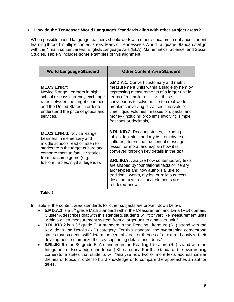#### • **How do the Tennessee World Languages Standards align with other subject areas?**

When possible, world language teachers should work with other educators to enhance student learning through multiple content areas. Many of Tennessee's World Language Standards align with the 4 main content areas: English/Language Arts (ELA), Mathematics, Science, and Social Studies. Table 9 includes some examples of this alignment:

| <b>World Language Standard</b>                                                                                                                                                                                         | <b>Other Content Area Standard</b>                                                                                                                                                                                                                                                                                                                                                                     |
|------------------------------------------------------------------------------------------------------------------------------------------------------------------------------------------------------------------------|--------------------------------------------------------------------------------------------------------------------------------------------------------------------------------------------------------------------------------------------------------------------------------------------------------------------------------------------------------------------------------------------------------|
| <b>ML.C3.1.NR.f:</b><br>Novice Range Learners in high<br>school discuss currency exchange<br>rates between the target countries<br>and the United States in order to<br>understand the price of goods and<br>services. | <b>5.MD.A.1:</b> Convert customary and metric<br>measurement units within a single system by<br>expressing measurements of a larger unit in<br>terms of a smaller unit. Use these<br>conversions to solve multi-step real world<br>problems involving distances, intervals of<br>time, liquid volumes, masses of objects, and<br>money (including problems involving simple<br>fractions or decimals). |
| ML.C3.1.NR.d: Novice Range<br>Learners in elementary and<br>middle schools read or listen to<br>stories from the target culture and<br>compare them to familiar stories                                                | <b>3.RL.KID.2: Recount stories, including</b><br>fables, folktales, and myths from diverse<br>cultures; determine the central message,<br>lesson, or moral and explain how it is<br>conveyed through key details in the text.                                                                                                                                                                          |
| from the same genre (e.g.,<br>folklore, fables, myths, legends).                                                                                                                                                       | <b>8.RL.IKI.9:</b> Analyze how contemporary texts<br>are shaped by foundational texts or literary<br>archetypes and how authors allude to<br>traditional works, myths, or religious texts;<br>describe how traditional elements are<br>rendered anew.                                                                                                                                                  |

#### **Table 9**

In Table 9, the content area standards for other subjects are broken down below:

- **5.MD.A.1** is a 5<sup>th</sup> grade Math standard within the Measurement and Data (MD) domain. Cluster A describes that with this standard, students will "convert like measurement units within a given measurement system from a larger unit to a smaller unit."
- **3.RL.KID.2** is a 3<sup>rd</sup> grade ELA standard in the Reading Literature (RL) strand with the Key Ideas and Details (KID) category. For this standard, the overarching cornerstone states that students will "determine central ideas or themes of a text and analyze their development; summarize the key supporting details and ideas."
- 8.RL.IKI.9 is an 8<sup>th</sup> grade ELA standard in the Reading Literature (RL) strand with the Integration of Knowledge and Ideas (IKI) category. For this standard, the overarching cornerstone states that students will "analyze how two or more texts address similar themes or topics in order to build knowledge or to compare the approaches an author takes."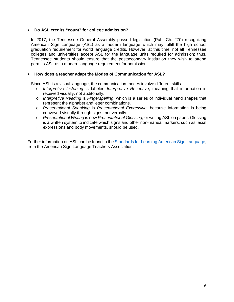#### • **Do ASL credits "count" for college admission?**

In 2017, the Tennessee General Assembly passed legislation (Pub. Ch. 270) recognizing American Sign Language (ASL) as a modern language which may fulfill the high school graduation requirement for world language credits. However, at this time, not all Tennessee colleges and universities accept ASL for the language units required for admission; thus, Tennessee students should ensure that the postsecondary institution they wish to attend permits ASL as a modern language requirement for admission.

#### • **How does a teacher adapt the Modes of Communication for ASL?**

Since ASL is a visual language, the communication modes involve different skills:

- o *Interpretive Listening* is labeled *Interpretive Receptive*, meaning that information is received visually, not auditorially.
- o *Interpretive Reading* is *Fingerspelling*, which is a series of individual hand shapes that represent the alphabet and letter combinations.
- o *Presentational Speaking* is *Presentational Expressive*, because information is being conveyed visually through signs, not verbally.
- o *Presentational Writing* is now *Presentational Glossing,* or writing ASL on paper. Glossing is a written system to indicate which signs and other non-manual markers, such as facial expressions and body movements, should be used.

Further information on ASL can be found in the [Standards for Learning American Sign Language,](https://aslta.org/wp-content/uploads/2014/07/National_ASL_Standards.pdf) from the American Sign Language Teachers Association.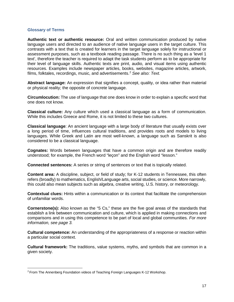#### **Glossary of Terms**

**Authentic text or authentic resource:** Oral and written communication produced by native language users and directed to an audience of native language users in the target culture. This contrasts with a text that is created for learners in the target language solely for instructional or assessment purposes, such as a textbook reading passage. There is no such thing as a 'level 1 text', therefore the teacher is required to adapt the task students perform as to be appropriate for their level of language skills. Authentic texts are print, audio, and visual items using authentic resources. Examples include newspaper articles, books, websites, magazine articles, artwork, films, folktales, recordings, music, and advertisements.[2](#page-18-0) *See also: Text.*

**Abstract language:** An expression that signifies a concept, quality, or idea rather than material or physical reality; the opposite of concrete language.

**Circumlocution:** The use of language that one does know in order to explain a specific word that one does not know.

**Classical culture:** Any culture which used a classical language as a form of communication. While this includes Greece and Rome, it is not limited to these two cultures.

**Classical language**: An ancient language with a large body of literature that usually exists over a long period of time, influences cultural traditions, and provides roots and models to living languages. While Greek and Latin are most well-known, a language such as Sanskrit is also considered to be a classical language.

**Cognates:** Words between languages that have a common origin and are therefore readily understood; for example, the French word "leçon" and the English word "lesson."

**Connected sentences:** A series or string of sentences or text that is topically related.

**Content area:** A discipline, subject, or field of study; for K-12 students in Tennessee, this often refers (broadly) to mathematics, English/Language arts, social studies, or science. More narrowly, this could also mean subjects such as algebra, creative writing, U.S. history, or meteorology.

**Contextual clues:** Hints within a communication or its context that facilitate the comprehension of unfamiliar words.

**Cornerstone(s):** Also known as the "5 Cs," these are the five goal areas of the standards that establish a link between communication and culture, which is applied in making connections and comparisons and in using this competence to be part of local and global communities. *For more information, see page 3.*

**Cultural competence:** An understanding of the appropriateness of a response or reaction within a particular social context.

**Cultural framework:** The traditions, value systems, myths, and symbols that are common in a given society.

<span id="page-18-0"></span> <sup>2</sup> From The Annenberg Foundation videos of Teaching Foreign Languages K-12 Workshop.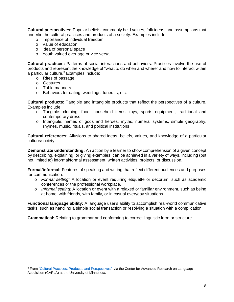**Cultural perspectives:** Popular beliefs, commonly held values, folk ideas, and assumptions that underlie the cultural practices and products of a society. Examples include:

- o Importance of individual freedom
- o Value of education
- o Idea of personal space
- o Youth valued over age or vice versa

**Cultural practices:** Patterns of social interactions and behaviors. Practices involve the use of products and represent the knowledge of "what to do when and where" and how to interact within a particular culture.<sup>[3](#page-19-0)</sup> Examples include:

- o Rites of passage
- o Gestures

 $\overline{a}$ 

- o Table manners
- o Behaviors for dating, weddings, funerals, etc.

**Cultural products:** Tangible and intangible products that reflect the perspectives of a culture. Examples include:

- o Tangible: clothing, food, household items, toys, sports equipment, traditional and contemporary dress
- o Intangible: names of gods and heroes, myths, numeral systems, simple geography, rhymes, music, rituals, and political institutions

**Cultural references:** Allusions to shared ideas, beliefs, values, and knowledge of a particular culture/society.

**Demonstrate understanding:** An action by a learner to show comprehension of a given concept by describing, explaining, or giving examples; can be achieved in a variety of ways, including (but not limited to) informal/formal assessment, written activities, projects, or discussion.

**Formal/informal:** Features of speaking and writing that reflect different audiences and purposes for communication.

- o *Formal setting:* A location or event requiring etiquette or decorum, such as academic conferences or the professional workplace.
- o *Informal setting:* A location or event with a relaxed or familiar environment, such as being at home, with friends, with family, or in casual everyday situations.

**Functional language ability:** A language user's ability to accomplish real-world communicative tasks, such as handling a simple social transaction or resolving a situation with a complication.

**Grammatical:** Relating to grammar and conforming to correct linguistic form or structure.

<span id="page-19-0"></span><sup>3</sup> From ["Cultural Practices, Products, and Perspectives"](http://carla.umn.edu/cobaltt/modules/curriculum/textanalysis/Practices_Products_Perspectives_Examples.pdf) via the Center for Advanced Research on Language Acquisition (CARLA) at the University of Minnesota.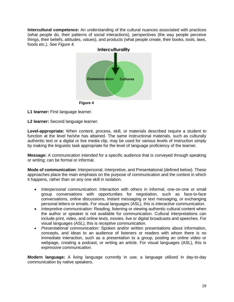**Intercultural competence:** An understanding of the cultural nuances associated with practices (what people do, their patterns of social interactions), perspectives (the way people perceive things, their beliefs, attitudes, values), and products (what people create, their books, tools, laws, foods etc.). *See Figure 4.*



**L1 learner:** First language learner.

**L2 learner:** Second language learner.

**Level-appropriate:** When content, process, skill, or materials described require a student to function at the level he/she has attained. The same instructional materials, such as culturally authentic text or a digital or live media clip, may be used for various levels of instruction simply by making the linguistic task appropriate for the level of language proficiency of the learner.

**Message:** A communication intended for a specific audience that is conveyed through speaking or writing; can be formal or informal.

**Mode of communication**: Interpersonal, Interpretive, and Presentational (defined below). These approaches place the main emphasis on the purpose of communication and the context in which it happens, rather than on any one skill in isolation.

- *Interpersonal communication***:** Interaction with others in informal, one-on-one or small group conversations with opportunities for negotiation, such as face-to-face conversations, online discussions, instant messaging or text messaging, or exchanging personal letters or emails. For visual languages (ASL), this is *interactive communication*.
- *Interpretive communication:* Reading, listening or viewing authentic cultural content when the author or speaker is not available for communication. Cultural interpretations can include print, video, and online texts, movies, live or digital broadcasts and speeches. For visual languages (ASL), this is *receptive communication*.
- *Presentational communication:* Spoken and/or written presentations about information, concepts, and ideas to an audience of listeners or readers with whom there is no immediate interaction, such as a presentation to a group, posting an online video or webpage, creating a podcast, or writing an article. For visual languages (ASL), this is *expressive communication*.

**Modern language:** A living language currently in use; a language utilized in day-to-day communication by native speakers.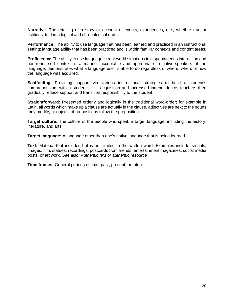**Narrative**: The retelling of a story or account of events, experiences, etc., whether true or fictitious, told in a logical and chronological order.

**Performance:** The ability to use language that has been learned and practiced in an instructional setting; language ability that has been practiced and is within familiar contexts and content areas.

**Proficiency:** The ability to use language in real-world situations in a spontaneous interaction and non-rehearsed context in a manner acceptable and appropriate to native-speakers of the language; demonstrates what a language user is able to do regardless of where, when, or how the language was acquired.

**Scaffolding**: Providing support via various instructional strategies to build a student's comprehension; with a student's skill acquisition and increased independence, teachers then gradually reduce support and transition responsibility to the student.

**Straightforward:** Presented orderly and logically in the traditional word-order; for example in Latin, all words which make up a clause are actually in the clause, adjectives are next to the nouns they modify, or objects of prepositions follow the preposition.

**Target culture:** The culture of the people who speak a target language, including the history, literature, and arts.

**Target language:** A language other than one's native language that is being learned.

**Text:** Material that includes but is not limited to the written word. Examples include: visuals, images, film, statues, recordings, postcards from friends, entertainment magazines, social media posts, or art work. *See also: Authentic text or authentic resource*

**Time frames:** General periods of time, past, present, or future.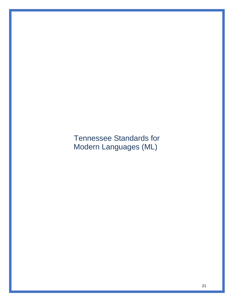Tennessee Standards for Modern Languages (ML)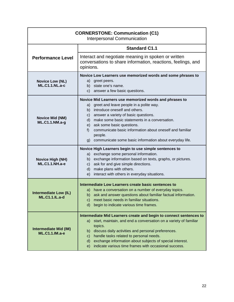| <b>CORNERSTONE: Communication (C1)</b><br><b>Interpersonal Communication</b> |                                                                                                                                                                                                                                                                                                                                                                                                                                            |
|------------------------------------------------------------------------------|--------------------------------------------------------------------------------------------------------------------------------------------------------------------------------------------------------------------------------------------------------------------------------------------------------------------------------------------------------------------------------------------------------------------------------------------|
|                                                                              | <b>Standard C1.1</b>                                                                                                                                                                                                                                                                                                                                                                                                                       |
| <b>Performance Level</b>                                                     | Interact and negotiate meaning in spoken or written<br>conversations to share information, reactions, feelings, and<br>opinions.                                                                                                                                                                                                                                                                                                           |
| <b>Novice Low (NL)</b><br><b>ML.C1.1.NL.a-c</b>                              | Novice Low Learners use memorized words and some phrases to<br>a) greet peers.<br>b) state one's name.<br>c) answer a few basic questions.                                                                                                                                                                                                                                                                                                 |
| <b>Novice Mid (NM)</b><br>ML.C1.1.NM.a-g                                     | Novice Mid Learners use memorized words and phrases to<br>a) greet and leave people in a polite way.<br>b) introduce oneself and others.<br>answer a variety of basic questions.<br>$\mathsf{C}$ )<br>make some basic statements in a conversation.<br>d)<br>ask some basic questions.<br>e)<br>communicate basic information about oneself and familiar<br>$f$ )<br>people.<br>g) communicate some basic information about everyday life. |
| <b>Novice High (NH)</b><br><b>ML.C1.1.NH.a-e</b>                             | Novice High Learners begin to use simple sentences to<br>a) exchange some personal information.<br>b) exchange information based on texts, graphs, or pictures.<br>ask for and give simple directions.<br>C)<br>d) make plans with others.<br>interact with others in everyday situations.<br>e)                                                                                                                                           |
| <b>Intermediate Low (IL)</b><br><b>ML.C1.1.IL.a-d</b>                        | Intermediate Low Learners create basic sentences to<br>a) have a conversation on a number of everyday topics.<br>b) ask and answer questions about familiar factual information.<br>C)<br>meet basic needs in familiar situations.<br>d)<br>begin to indicate various time frames.                                                                                                                                                         |
| <b>Intermediate Mid (IM)</b><br><b>ML.C1.1.IM.a-e</b>                        | Intermediate Mid Learners create and begin to connect sentences to<br>start, maintain, and end a conversation on a variety of familiar<br>a)<br>topics.<br>discuss daily activities and personal preferences.<br>b) -<br>handle tasks related to personal needs.<br>$\mathsf{C}$<br>exchange information about subjects of special interest.<br>d)<br>indicate various time frames with occasional success.<br>e)                          |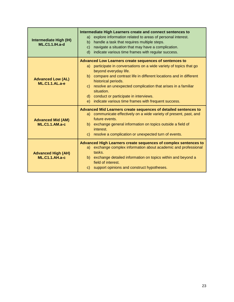| Intermediate High (IH)<br><b>ML.C1.1.IH.a-d</b>    | Intermediate High Learners create and connect sentences to<br>explore information related to areas of personal interest.<br>a)<br>handle a task that requires multiple steps.<br>b)<br>navigate a situation that may have a complication.<br>C)<br>indicate various time frames with regular success.<br>d)                                                                                                                                              |
|----------------------------------------------------|----------------------------------------------------------------------------------------------------------------------------------------------------------------------------------------------------------------------------------------------------------------------------------------------------------------------------------------------------------------------------------------------------------------------------------------------------------|
| <b>Advanced Low (AL)</b><br><b>ML.C1.1.AL.a-e</b>  | Advanced Low Learners create sequences of sentences to<br>participate in conversations on a wide variety of topics that go<br>a)<br>beyond everyday life.<br>compare and contrast life in different locations and in different<br>b)<br>historical periods.<br>resolve an unexpected complication that arises in a familiar<br>C)<br>situation.<br>d) conduct or participate in interviews.<br>indicate various time frames with frequent success.<br>e) |
| <b>Advanced Mid (AM)</b><br><b>ML.C1.1.AM.a-c</b>  | Advanced Mid Learners create sequences of detailed sentences to<br>a) communicate effectively on a wide variety of present, past, and<br>future events.<br>exchange general information on topics outside a field of<br>b)<br>interest.<br>c) resolve a complication or unexpected turn of events.                                                                                                                                                       |
| <b>Advanced High (AH)</b><br><b>ML.C1.1.AH.a-c</b> | Advanced High Learners create sequences of complex sentences to<br>a) exchange complex information about academic and professional<br>tasks.<br>b) exchange detailed information on topics within and beyond a<br>field of interest.<br>c) support opinions and construct hypotheses.                                                                                                                                                                    |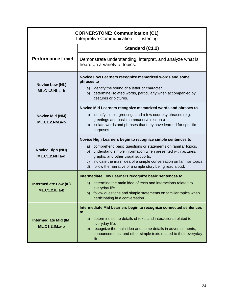| <b>CORNERSTONE: Communication (C1)</b><br>Interpretive Communication - Listening |                                                                                                                                                                                                                                                                                                                                                                                                   |
|----------------------------------------------------------------------------------|---------------------------------------------------------------------------------------------------------------------------------------------------------------------------------------------------------------------------------------------------------------------------------------------------------------------------------------------------------------------------------------------------|
|                                                                                  | Standard (C1.2)                                                                                                                                                                                                                                                                                                                                                                                   |
| <b>Performance Level</b>                                                         | Demonstrate understanding, interpret, and analyze what is<br>heard on a variety of topics.                                                                                                                                                                                                                                                                                                        |
| <b>Novice Low (NL)</b><br><b>ML.C1.2.NL.a-b</b>                                  | Novice Low Learners recognize memorized words and some<br>phrases to<br>a) identify the sound of a letter or character.<br>determine isolated words, particularly when accompanied by<br>b)<br>gestures or pictures.                                                                                                                                                                              |
| <b>Novice Mid (NM)</b><br><b>ML.C1.2.NM.a-b</b>                                  | Novice Mid Learners recognize memorized words and phrases to<br>identify simple greetings and a few courtesy phrases (e.g.<br>a)<br>greetings and basic commands/directions).<br>isolate words and phrases that they have learned for specific<br>b)<br>purposes.                                                                                                                                 |
| <b>Novice High (NH)</b><br><b>ML.C1.2.NH.a-d</b>                                 | Novice High Learners begin to recognize simple sentences to<br>a) comprehend basic questions or statements on familiar topics.<br>understand simple information when presented with pictures,<br>b)<br>graphs, and other visual supports.<br>indicate the main idea of a simple conversation on familiar topics.<br>$\mathsf{C}$ )<br>d) follow the narrative of a simple story being read aloud. |
| <b>Intermediate Low (IL)</b><br><b>ML.C1.2.IL.a-b</b>                            | Intermediate Low Learners recognize basic sentences to<br>a) determine the main idea of texts and interactions related to<br>everyday life.<br>b) follow questions and simple statements on familiar topics when<br>participating in a conversation.                                                                                                                                              |
| <b>Intermediate Mid (IM)</b><br><b>ML.C1.2.IM.a-b</b>                            | Intermediate Mid Learners begin to recognize connected sentences<br>to<br>a) determine some details of texts and interactions related to<br>everyday life.<br>b) recognize the main idea and some details in advertisements,<br>announcements, and other simple texts related to their everyday<br>life.                                                                                          |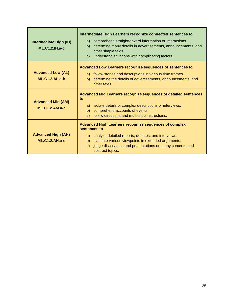| Intermediate High (IH)<br>$ML.C1.2.H.a-c$         | Intermediate High Learners recognize connected sentences to<br>comprehend straightforward information or interactions.<br>a)<br>determine many details in advertisements, announcements, and<br>b)<br>other simple texts.<br>understand situations with complicating factors.<br>$\mathsf{C}$        |
|---------------------------------------------------|------------------------------------------------------------------------------------------------------------------------------------------------------------------------------------------------------------------------------------------------------------------------------------------------------|
| <b>Advanced Low (AL)</b><br>$ML.C1.2.AL.a-b$      | Advanced Low Learners recognize sequences of sentences to<br>a) follow stories and descriptions in various time frames.<br>determine the details of advertisements, announcements, and<br>b)<br>other texts.                                                                                         |
| <b>Advanced Mid (AM)</b><br><b>ML.C1.2.AM.a-c</b> | Advanced Mid Learners recognize sequences of detailed sentences<br>to<br>isolate details of complex descriptions or interviews.<br>a)<br>comprehend accounts of events.<br>b)<br>follow directions and multi-step instructions.<br>$\mathsf{C}$                                                      |
| <b>Advanced High (AH)</b><br>$ML.C1.2.AH.a-c$     | <b>Advanced High Learners recognize sequences of complex</b><br>sentences to<br>analyze detailed reports, debates, and interviews.<br>a)<br>evaluate various viewpoints in extended arguments.<br>b)<br>judge discussions and presentations on many concrete and<br>$\mathsf{C}$<br>abstract topics. |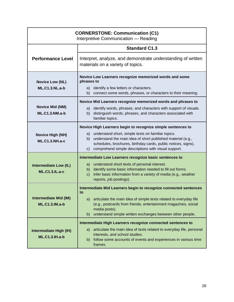| <b>CORNERSTONE: Communication (C1)</b><br>Interpretive Communication - Reading |                                                                                                                                                                                                                                                             |
|--------------------------------------------------------------------------------|-------------------------------------------------------------------------------------------------------------------------------------------------------------------------------------------------------------------------------------------------------------|
|                                                                                | <b>Standard C1.3</b>                                                                                                                                                                                                                                        |
| <b>Performance Level</b>                                                       | Interpret, analyze, and demonstrate understanding of written<br>materials on a variety of topics.                                                                                                                                                           |
| <b>Novice Low (NL)</b><br><b>ML.C1.3.NL.a-b</b>                                | Novice Low Learners recognize memorized words and some<br>phrases to<br>a) identify a few letters or characters.<br>b) connect some words, phrases, or characters to their meaning.                                                                         |
|                                                                                | Novice Mid Learners recognize memorized words and phrases to                                                                                                                                                                                                |
| <b>Novice Mid (NM)</b><br><b>ML.C1.3.NM.a-b</b>                                | identify words, phrases, and characters with support of visuals.<br>a)<br>distinguish words, phrases, and characters associated with<br>b)<br>familiar topics.                                                                                              |
|                                                                                | Novice High Learners begin to recognize simple sentences to                                                                                                                                                                                                 |
| <b>Novice High (NH)</b><br><b>ML.C1.3.NH.a-c</b>                               | understand short, simple texts on familiar topics.<br>a)<br>understand the main idea of short published material (e.g.,<br>b)<br>schedules, brochures, birthday cards, public notices, signs).<br>comprehend simple descriptions with visual support.<br>c) |
|                                                                                | Intermediate Low Learners recognize basic sentences to                                                                                                                                                                                                      |
| <b>Intermediate Low (IL)</b><br><b>ML.C1.3.IL.a-c</b>                          | a) understand short texts of personal interest.<br>b) identify some basic information needed to fill out forms.<br>infer basic information from a variety of media (e.g., weather<br>c)<br>reports, job postings).                                          |
|                                                                                | Intermediate Mid Learners begin to recognize connected sentences<br>to                                                                                                                                                                                      |
| <b>Intermediate Mid (IM)</b><br><b>ML.C1.3.IM.a-b</b>                          | a) articulate the main idea of simple texts related to everyday life<br>(e.g., postcards from friends, entertainment magazines, social<br>media posts).<br>understand simple written exchanges between other people.<br>$\mathsf{b}$                        |
|                                                                                | Intermediate High Learners recognize connected sentences to                                                                                                                                                                                                 |
| Intermediate High (IH)<br><b>ML.C1.3.IH.a-b</b>                                | articulate the main idea of texts related to everyday life, personal<br>a)<br>interests, and school studies.<br>b) follow some accounts of events and experiences in various time<br>frames.                                                                |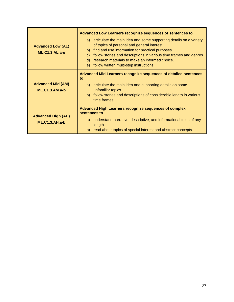| <b>Advanced Low (AL)</b><br>$ML.C1.3.AL.a-e$      | Advanced Low Learners recognize sequences of sentences to<br>a) articulate the main idea and some supporting details on a variety<br>of topics of personal and general interest.<br>find and use information for practical purposes.<br>b)<br>follow stories and descriptions in various time frames and genres.<br>$\mathbf{C}$<br>research materials to make an informed choice.<br>d)<br>follow written multi-step instructions.<br>e) |
|---------------------------------------------------|-------------------------------------------------------------------------------------------------------------------------------------------------------------------------------------------------------------------------------------------------------------------------------------------------------------------------------------------------------------------------------------------------------------------------------------------|
| <b>Advanced Mid (AM)</b><br><b>ML.C1.3.AM.a-b</b> | Advanced Mid Learners recognize sequences of detailed sentences<br>to<br>a) articulate the main idea and supporting details on some<br>unfamiliar topics.<br>b) follow stories and descriptions of considerable length in various<br>time frames.                                                                                                                                                                                         |
| <b>Advanced High (AH)</b><br>$ML.C1.3.AH.a-b$     | <b>Advanced High Learners recognize sequences of complex</b><br>sentences to<br>a) understand narrative, descriptive, and informational texts of any<br>length.<br>read about topics of special interest and abstract concepts.<br>b)                                                                                                                                                                                                     |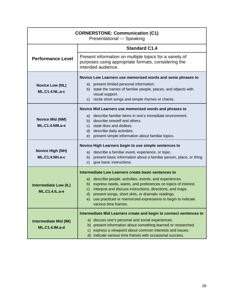| <b>CORNERSTONE: Communication (C1)</b><br>Presentational - Speaking |                                                                                                                                                                                                                                                                                                                                                                                    |
|---------------------------------------------------------------------|------------------------------------------------------------------------------------------------------------------------------------------------------------------------------------------------------------------------------------------------------------------------------------------------------------------------------------------------------------------------------------|
|                                                                     | <b>Standard C1.4</b>                                                                                                                                                                                                                                                                                                                                                               |
| <b>Performance Level</b>                                            | Present information on multiple topics for a variety of<br>purposes using appropriate formats, considering the<br>intended audience.                                                                                                                                                                                                                                               |
|                                                                     | Novice Low Learners use memorized words and some phrases to                                                                                                                                                                                                                                                                                                                        |
| <b>Novice Low (NL)</b><br><b>ML.C1.4.NL.a-c</b>                     | a) present limited personal information.<br>state the names of familiar people, places, and objects with<br>b)<br>visual support.<br>recite short songs and simple rhymes or chants.<br>$\mathsf{C}$ )                                                                                                                                                                             |
|                                                                     | Novice Mid Learners use memorized words and phrases to                                                                                                                                                                                                                                                                                                                             |
| <b>Novice Mid (NM)</b><br><b>ML.C1.4.NM.a-e</b>                     | describe familiar items in one's immediate environment.<br>a)<br>b) describe oneself and others.<br>c) state likes and dislikes.<br>d) describe daily activities.<br>e) present simple information about familiar topics.                                                                                                                                                          |
|                                                                     | Novice High Learners begin to use simple sentences to                                                                                                                                                                                                                                                                                                                              |
| <b>Novice High (NH)</b><br><b>ML.C1.4.NH.a-c</b>                    | describe a familiar event, experience, or topic.<br>a)<br>b) present basic information about a familiar person, place, or thing.<br>give basic instructions.<br>$\mathsf{C}$ )                                                                                                                                                                                                     |
|                                                                     | Intermediate Low Learners create basic sentences to                                                                                                                                                                                                                                                                                                                                |
| <b>Intermediate Low (IL)</b><br><b>ML.C1.4.IL.a-e</b>               | describe people, activities, events, and experiences.<br>a)<br>express needs, wants, and preferences on topics of interest.<br>b)<br>interpret and discuss instructions, directions, and maps.<br>$\mathsf{C}$ )<br>present songs, short skits, or dramatic readings.<br>$\mathsf{d}$<br>use practiced or memorized expressions to begin to indicate<br>e)<br>various time frames. |
|                                                                     | Intermediate Mid Learners create and begin to connect sentences to                                                                                                                                                                                                                                                                                                                 |
| <b>Intermediate Mid (IM)</b><br><b>ML.C1.4.IM.a-d</b>               | a) discuss one's personal and social experiences.<br>b) present information about something learned or researched.<br>c) express a viewpoint about common interests and issues.<br>d) indicate various time frames with occasional success.                                                                                                                                        |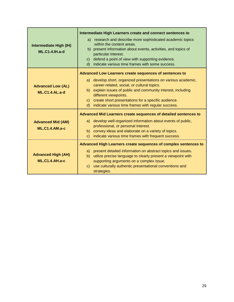| Intermediate High (IH)<br><b>ML.C1.4.IH.a-d</b>    | Intermediate High Learners create and connect sentences to<br>research and describe more sophisticated academic topics<br>a)<br>within the content areas.<br>b) present information about events, activities, and topics of<br>particular interest.<br>defend a point of view with supporting evidence.<br>$\mathsf{C}$<br>indicate various time frames with some success.<br>$\mathsf{d}$           |
|----------------------------------------------------|------------------------------------------------------------------------------------------------------------------------------------------------------------------------------------------------------------------------------------------------------------------------------------------------------------------------------------------------------------------------------------------------------|
| <b>Advanced Low (AL)</b><br><b>ML.C1.4.AL.a-d</b>  | Advanced Low Learners create sequences of sentences to<br>a) develop short, organized presentations on various academic,<br>career-related, social, or cultural topics.<br>b) explain issues of public and community interest, including<br>different viewpoints.<br>create short presentations for a specific audience.<br>$\mathsf{C}$<br>indicate various time frames with regular success.<br>d) |
| <b>Advanced Mid (AM)</b><br><b>ML.C1.4.AM.a-c</b>  | Advanced Mid Learners create sequences of detailed sentences to<br>a) develop well-organized information about events of public,<br>professional, or personal interest.<br>b) convey ideas and elaborate on a variety of topics.<br>indicate various time frames with frequent success.<br>$\mathsf{C}$                                                                                              |
| <b>Advanced High (AH)</b><br><b>ML.C1.4.AH.a-c</b> | Advanced High Learners create sequences of complex sentences to<br>a) present detailed information on abstract topics and issues.<br>utilize precise language to clearly present a viewpoint with<br>b)<br>supporting arguments on a complex issue.<br>use culturally authentic presentational conventions and<br>$\mathsf{C}$<br>strategies.                                                        |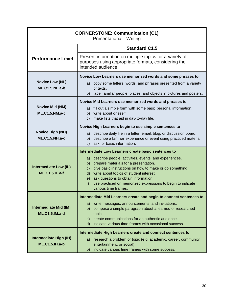| <b>CORNERSTONE: Communication (C1)</b><br><b>Presentational - Writing</b> |                                                                                                                                                                                                                                                                                                                                                                            |
|---------------------------------------------------------------------------|----------------------------------------------------------------------------------------------------------------------------------------------------------------------------------------------------------------------------------------------------------------------------------------------------------------------------------------------------------------------------|
|                                                                           | <b>Standard C1.5</b>                                                                                                                                                                                                                                                                                                                                                       |
| <b>Performance Level</b>                                                  | Present information on multiple topics for a variety of<br>purposes using appropriate formats, considering the<br>intended audience.                                                                                                                                                                                                                                       |
|                                                                           | Novice Low Learners use memorized words and some phrases to                                                                                                                                                                                                                                                                                                                |
| <b>Novice Low (NL)</b><br><b>ML.C1.5.NL.a-b</b>                           | a) copy some letters, words, and phrases presented from a variety<br>of texts.<br>b) label familiar people, places, and objects in pictures and posters.                                                                                                                                                                                                                   |
|                                                                           | Novice Mid Learners use memorized words and phrases to                                                                                                                                                                                                                                                                                                                     |
| <b>Novice Mid (NM)</b><br><b>ML.C1.5.NM.a-c</b>                           | a) fill out a simple form with some basic personal information.<br>b) write about oneself.<br>c) make lists that aid in day-to-day life.                                                                                                                                                                                                                                   |
|                                                                           | Novice High Learners begin to use simple sentences to                                                                                                                                                                                                                                                                                                                      |
| <b>Novice High (NH)</b><br><b>ML.C1.5.NH.a-c</b>                          | describe daily life in a letter, email, blog, or discussion board.<br>a)<br>describe a familiar experience or event using practiced material.<br>b)<br>c) ask for basic information.                                                                                                                                                                                       |
|                                                                           | Intermediate Low Learners create basic sentences to                                                                                                                                                                                                                                                                                                                        |
| <b>Intermediate Low (IL)</b><br><b>ML.C1.5.IL.a-f</b>                     | a) describe people, activities, events, and experiences.<br>b) prepare materials for a presentation.<br>give basic instructions on how to make or do something.<br>$\mathsf{C}$ )<br>d) write about topics of student interest.<br>ask questions to obtain information.<br>e)<br>use practiced or memorized expressions to begin to indicate<br>f)<br>various time frames. |
|                                                                           | Intermediate Mid Learners create and begin to connect sentences to                                                                                                                                                                                                                                                                                                         |
| <b>Intermediate Mid (IM)</b><br><b>ML.C1.5.IM.a-d</b>                     | a) write messages, announcements, and invitations.<br>compose a simple paragraph about a learned or researched<br>b)<br>topic.<br>create communications for an authentic audience.<br>C)<br>d) indicate various time frames with occasional success.                                                                                                                       |
| Intermediate High (IH)<br><b>ML.C1.5.IH.a-b</b>                           | Intermediate High Learners create and connect sentences to<br>a) research a problem or topic (e.g. academic, career, community,<br>entertainment, or social).<br>indicate various time frames with some success.<br>b)                                                                                                                                                     |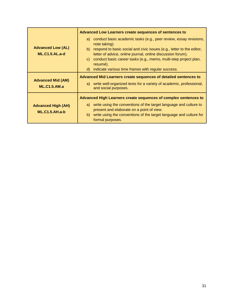|                                                    | Advanced Low Learners create sequences of sentences to                                                                                                                                                                                                                                                                                                                                       |
|----------------------------------------------------|----------------------------------------------------------------------------------------------------------------------------------------------------------------------------------------------------------------------------------------------------------------------------------------------------------------------------------------------------------------------------------------------|
| <b>Advanced Low (AL)</b><br><b>ML.C1.5.AL.a-d</b>  | a) conduct basic academic tasks (e.g., peer review, essay revisions,<br>note taking).<br>respond to basic social and civic issues (e.g., letter to the editor,<br>b)<br>letter of advice, online journal, online discussion forum).<br>conduct basic career tasks (e.g., memo, multi-step project plan,<br>$\mathsf{C}$<br>resumé).<br>d) indicate various time frames with regular success. |
| <b>Advanced Mid (AM)</b><br><b>ML.C1.5.AM.a</b>    | Advanced Mid Learners create sequences of detailed sentences to<br>a) write well-organized texts for a variety of academic, professional,<br>and social purposes.                                                                                                                                                                                                                            |
| <b>Advanced High (AH)</b><br><b>ML.C1.5.AH.a-b</b> | Advanced High Learners create sequences of complex sentences to<br>a) write using the conventions of the target language and culture to<br>present and elaborate on a point of view.<br>write using the conventions of the target language and culture for<br>b)<br>formal purposes.                                                                                                         |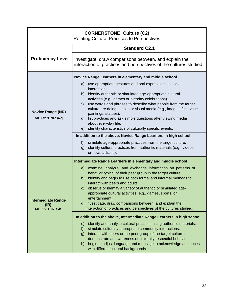| <b>CORNERSTONE: Culture (C2)</b><br><b>Relating Cultural Practices to Perspectives</b> |                                                                                                                                                                                                                                                                                                                                                                                                                                                                                                                                                                                                                                                                                             |  |
|----------------------------------------------------------------------------------------|---------------------------------------------------------------------------------------------------------------------------------------------------------------------------------------------------------------------------------------------------------------------------------------------------------------------------------------------------------------------------------------------------------------------------------------------------------------------------------------------------------------------------------------------------------------------------------------------------------------------------------------------------------------------------------------------|--|
|                                                                                        | <b>Standard C2.1</b>                                                                                                                                                                                                                                                                                                                                                                                                                                                                                                                                                                                                                                                                        |  |
| <b>Proficiency Level</b>                                                               | Investigate, draw comparisons between, and explain the<br>interaction of practices and perspectives of the cultures studied.                                                                                                                                                                                                                                                                                                                                                                                                                                                                                                                                                                |  |
|                                                                                        | Novice Range Learners in elementary and middle school                                                                                                                                                                                                                                                                                                                                                                                                                                                                                                                                                                                                                                       |  |
| <b>Novice Range (NR)</b><br>ML.C2.1.NR.a-g                                             | use appropriate gestures and oral expressions in social<br>a)<br>interactions.<br>identify authentic or simulated age-appropriate cultural<br>b)<br>activities (e.g., games or birthday celebrations).<br>use words and phrases to describe what people from the target<br>$\mathsf{c}$ )<br>culture are doing in texts or visual media (e.g., images, film, vase<br>paintings, statues).<br>d) list practices and ask simple questions after viewing media<br>about everyday life.<br>identify characteristics of culturally specific events.<br>e)<br>In addition to the above, Novice Range Learners in high school<br>simulate age-appropriate practices from the target culture.<br>f) |  |
|                                                                                        | identify cultural practices from authentic materials (e.g., videos<br>g)<br>or news articles).                                                                                                                                                                                                                                                                                                                                                                                                                                                                                                                                                                                              |  |
|                                                                                        | Intermediate Range Learners in elementary and middle school                                                                                                                                                                                                                                                                                                                                                                                                                                                                                                                                                                                                                                 |  |
| <b>Intermediate Range</b><br>(IR)<br><b>ML.C2.1.IR.a-h</b>                             | examine, analyze, and exchange information on patterns of<br>a)<br>behavior typical of their peer group in the target culture.<br>b) identify and begin to use both formal and informal methods to<br>interact with peers and adults.<br>observe or identify a variety of authentic or simulated age-<br>$\mathsf{C}$<br>appropriate cultural activities (e.g., games, sports, or<br>entertainment).<br>d) investigate, draw comparisons between, and explain the<br>interaction of practices and perspectives of the cultures studied.                                                                                                                                                     |  |
|                                                                                        | In addition to the above, Intermediate Range Learners in high school                                                                                                                                                                                                                                                                                                                                                                                                                                                                                                                                                                                                                        |  |
|                                                                                        | identify and analyze cultural practices using authentic materials.<br>e)<br>simulate culturally appropriate community interactions.<br>f)<br>interact with peers or the peer group of the target culture to<br>g)<br>demonstrate an awareness of culturally respectful behavior.<br>begin to adjust language and message to acknowledge audiences<br>h)<br>with different cultural backgrounds.                                                                                                                                                                                                                                                                                             |  |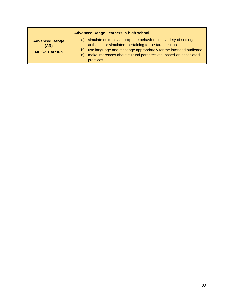|                                                        | <b>Advanced Range Learners in high school</b>                                                                                                                                                                                                                                                       |
|--------------------------------------------------------|-----------------------------------------------------------------------------------------------------------------------------------------------------------------------------------------------------------------------------------------------------------------------------------------------------|
| <b>Advanced Range</b><br>(AR)<br><b>ML.C2.1.AR.a-c</b> | a) simulate culturally appropriate behaviors in a variety of settings,<br>authentic or simulated, pertaining to the target culture.<br>b) use language and message appropriately for the intended audience.<br>make inferences about cultural perspectives, based on associated<br>C)<br>practices. |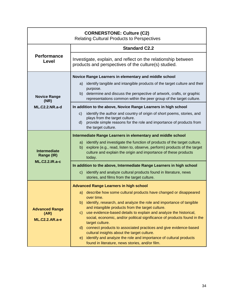| <b>CORNERSTONE: Culture (C2)</b><br><b>Relating Cultural Products to Perspectives</b> |                                                                                                                                                                                                                                                                                                        |
|---------------------------------------------------------------------------------------|--------------------------------------------------------------------------------------------------------------------------------------------------------------------------------------------------------------------------------------------------------------------------------------------------------|
|                                                                                       | <b>Standard C2.2</b>                                                                                                                                                                                                                                                                                   |
| <b>Performance</b><br>Level                                                           | Investigate, explain, and reflect on the relationship between<br>products and perspectives of the culture(s) studied.                                                                                                                                                                                  |
|                                                                                       | Novice Range Learners in elementary and middle school                                                                                                                                                                                                                                                  |
| <b>Novice Range</b><br>(NR)                                                           | identify tangible and intangible products of the target culture and their<br>a)<br>purpose.<br>b) determine and discuss the perspective of artwork, crafts, or graphic<br>representations common within the peer group of the target culture.                                                          |
| <b>ML.C2.2.NR.a-d</b>                                                                 | In addition to the above, Novice Range Learners in high school                                                                                                                                                                                                                                         |
|                                                                                       | identify the author and country of origin of short poems, stories, and<br>$\mathsf{C}$<br>plays from the target culture.<br>provide simple reasons for the role and importance of products from<br>d)<br>the target culture.                                                                           |
|                                                                                       | Intermediate Range Learners in elementary and middle school                                                                                                                                                                                                                                            |
| <b>Intermediate</b><br>Range (IR)                                                     | a) identify and investigate the function of products of the target culture.<br>explore (e.g., read, listen to, observe, perform) products of the target<br>b)<br>culture and explain the origin and importance of these products<br>today.                                                             |
| <b>ML.C2.2.IR.a-c</b>                                                                 | In addition to the above, Intermediate Range Learners in high school                                                                                                                                                                                                                                   |
|                                                                                       | identify and analyze cultural products found in literature, news<br>$\mathbf{C}$<br>stories, and films from the target culture.                                                                                                                                                                        |
|                                                                                       | <b>Advanced Range Learners in high school</b>                                                                                                                                                                                                                                                          |
| <b>Advanced Range</b>                                                                 | a) describe how some cultural products have changed or disappeared<br>over time.<br>identify, research, and analyze the role and importance of tangible<br>b)<br>and intangible products from the target culture.<br>use evidence-based details to explain and analyze the historical,<br>$\mathsf{C}$ |
| (AR)<br><b>ML.C2.2.AR.a-e</b>                                                         | social, economic, and/or political significance of products found in the                                                                                                                                                                                                                               |
|                                                                                       | target culture.<br>connect products to associated practices and give evidence-based<br>d)<br>cultural insights about the target culture.<br>identify and analyze the role and importance of cultural products<br>e)<br>found in literature, news stories, and/or film.                                 |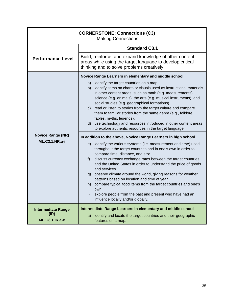| <b>CORNERSTONE: Connections (C3)</b><br><b>Making Connections</b> |                                                                                                                                                                                                                                                                                                                                                                                                                                                                                                                                                                                                                                                                                                                                                                                                                                                                                                                                                                                                                                                                                                                                                                                                                                                                                                                                                        |
|-------------------------------------------------------------------|--------------------------------------------------------------------------------------------------------------------------------------------------------------------------------------------------------------------------------------------------------------------------------------------------------------------------------------------------------------------------------------------------------------------------------------------------------------------------------------------------------------------------------------------------------------------------------------------------------------------------------------------------------------------------------------------------------------------------------------------------------------------------------------------------------------------------------------------------------------------------------------------------------------------------------------------------------------------------------------------------------------------------------------------------------------------------------------------------------------------------------------------------------------------------------------------------------------------------------------------------------------------------------------------------------------------------------------------------------|
|                                                                   | <b>Standard C3.1</b>                                                                                                                                                                                                                                                                                                                                                                                                                                                                                                                                                                                                                                                                                                                                                                                                                                                                                                                                                                                                                                                                                                                                                                                                                                                                                                                                   |
| <b>Performance Level</b>                                          | Build, reinforce, and expand knowledge of other content<br>areas while using the target language to develop critical<br>thinking and to solve problems creatively.                                                                                                                                                                                                                                                                                                                                                                                                                                                                                                                                                                                                                                                                                                                                                                                                                                                                                                                                                                                                                                                                                                                                                                                     |
| <b>Novice Range (NR)</b><br><b>ML.C3.1.NR.a-i</b>                 | Novice Range Learners in elementary and middle school<br>identify the target countries on a map.<br>a)<br>identify items on charts or visuals used as instructional materials<br>b)<br>in other content areas, such as math (e.g. measurements),<br>science (e.g. animals), the arts (e.g. musical instruments), and<br>social studies (e.g. geographical formations).<br>c) read or listen to stories from the target culture and compare<br>them to familiar stories from the same genre (e.g., folklore,<br>fables, myths, legends).<br>use technology and resources introduced in other content areas<br>d)<br>to explore authentic resources in the target language.<br>In addition to the above, Novice Range Learners in high school<br>identify the various systems (i.e. measurement and time) used<br>e)<br>throughout the target countries and in one's own in order to<br>compare time, distance, and size.<br>discuss currency exchange rates between the target countries<br>f)<br>and the United States in order to understand the price of goods<br>and services.<br>g) observe climate around the world, giving reasons for weather<br>patterns based on location and time of year.<br>compare typical food items from the target countries and one's<br>h)<br>own.<br>explore people from the past and present who have had an<br>i) |
|                                                                   | influence locally and/or globally.                                                                                                                                                                                                                                                                                                                                                                                                                                                                                                                                                                                                                                                                                                                                                                                                                                                                                                                                                                                                                                                                                                                                                                                                                                                                                                                     |
| <b>Intermediate Range</b><br>(IR)<br><b>ML.C3.1.IR.a-e</b>        | Intermediate Range Learners in elementary and middle school<br>identify and locate the target countries and their geographic<br>a)<br>features on a map.                                                                                                                                                                                                                                                                                                                                                                                                                                                                                                                                                                                                                                                                                                                                                                                                                                                                                                                                                                                                                                                                                                                                                                                               |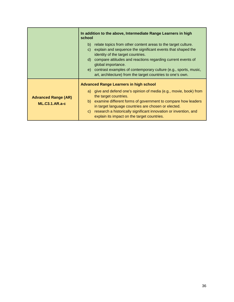|                                                     | In addition to the above, Intermediate Range Learners in high<br>school                                                                                                                                                                                                                                                                                     |
|-----------------------------------------------------|-------------------------------------------------------------------------------------------------------------------------------------------------------------------------------------------------------------------------------------------------------------------------------------------------------------------------------------------------------------|
|                                                     | relate topics from other content areas to the target culture.<br>b)<br>explain and sequence the significant events that shaped the<br>C)<br>identity of the target countries.<br>compare attitudes and reactions regarding current events of<br>d)<br>global importance.                                                                                    |
|                                                     | contrast examples of contemporary culture (e.g., sports, music,<br>e)<br>art, architecture) from the target countries to one's own.                                                                                                                                                                                                                         |
|                                                     | <b>Advanced Range Learners in high school</b>                                                                                                                                                                                                                                                                                                               |
| <b>Advanced Range (AR)</b><br><b>ML.C3.1.AR.a-c</b> | a) give and defend one's opinion of media (e.g., movie, book) from<br>the target countries.<br>examine different forms of government to compare how leaders<br>b)<br>in target language countries are chosen or elected.<br>research a historically significant innovation or invention, and<br>$\mathsf{C}$<br>explain its impact on the target countries. |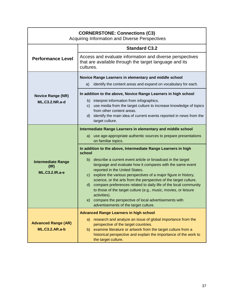| <b>CORNERSTONE: Connections (C3)</b><br>Acquiring Information and Diverse Perspectives                                                                                                                                                                                                                                                                                                                                                                                                                                                                                                 |  |
|----------------------------------------------------------------------------------------------------------------------------------------------------------------------------------------------------------------------------------------------------------------------------------------------------------------------------------------------------------------------------------------------------------------------------------------------------------------------------------------------------------------------------------------------------------------------------------------|--|
| <b>Standard C3.2</b>                                                                                                                                                                                                                                                                                                                                                                                                                                                                                                                                                                   |  |
| Access and evaluate information and diverse perspectives<br>that are available through the target language and its<br>cultures.                                                                                                                                                                                                                                                                                                                                                                                                                                                        |  |
| Novice Range Learners in elementary and middle school                                                                                                                                                                                                                                                                                                                                                                                                                                                                                                                                  |  |
| identify the content areas and expand on vocabulary for each.<br>a)                                                                                                                                                                                                                                                                                                                                                                                                                                                                                                                    |  |
| In addition to the above, Novice Range Learners in high school                                                                                                                                                                                                                                                                                                                                                                                                                                                                                                                         |  |
| b) interpret information from infographics.<br>use media from the target culture to increase knowledge of topics<br>C)<br>from other content areas.<br>d) identify the main idea of current events reported in news from the<br>target culture.                                                                                                                                                                                                                                                                                                                                        |  |
| Intermediate Range Learners in elementary and middle school                                                                                                                                                                                                                                                                                                                                                                                                                                                                                                                            |  |
| use age-appropriate authentic sources to prepare presentations<br>a)<br>on familiar topics.                                                                                                                                                                                                                                                                                                                                                                                                                                                                                            |  |
| In addition to the above, Intermediate Range Learners in high<br>school                                                                                                                                                                                                                                                                                                                                                                                                                                                                                                                |  |
| b) describe a current event article or broadcast in the target<br>language and evaluate how it compares with the same event<br>reported in the United States.<br>explore the various perspectives of a major figure in history,<br>$\mathsf{C}$ )<br>science, or the arts from the perspective of the target culture.<br>compare preferences related to daily life of the local community<br>d)<br>to those of the target culture (e.g., music, movies, or leisure<br>activities).<br>e) compare the perspective of local advertisements with<br>advertisements of the target culture. |  |
| <b>Advanced Range Learners in high school</b>                                                                                                                                                                                                                                                                                                                                                                                                                                                                                                                                          |  |
| research and analyze an issue of global importance from the<br>a)<br>perspective of the target countries.<br>examine literature or artwork from the target culture from a<br>b)<br>historical perspective and explain the importance of the work to<br>the target culture.                                                                                                                                                                                                                                                                                                             |  |
|                                                                                                                                                                                                                                                                                                                                                                                                                                                                                                                                                                                        |  |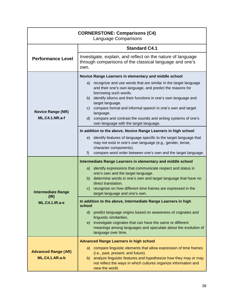| <b>CORNERSTONE: Comparisons (C4)</b><br><b>Language Comparisons</b> |                                                                                                                                                                                                                                                                                                                                                                                                                                             |
|---------------------------------------------------------------------|---------------------------------------------------------------------------------------------------------------------------------------------------------------------------------------------------------------------------------------------------------------------------------------------------------------------------------------------------------------------------------------------------------------------------------------------|
|                                                                     | <b>Standard C4.1</b>                                                                                                                                                                                                                                                                                                                                                                                                                        |
| <b>Performance Level</b>                                            | Investigate, explain, and reflect on the nature of language<br>through comparisons of the classical language and one's<br>own.                                                                                                                                                                                                                                                                                                              |
|                                                                     | Novice Range Learners in elementary and middle school                                                                                                                                                                                                                                                                                                                                                                                       |
| <b>Novice Range (NR)</b><br><b>ML.C4.1.NR.a-f</b>                   | a) recognize and use words that are similar in the target language<br>and their one's own language, and predict the reasons for<br>borrowing such words.<br>b) identify idioms and their functions in one's own language and<br>target language.<br>c) compare formal and informal speech in one's own and target<br>language.<br>d) compare and contrast the sounds and writing systems of one's<br>own language with the target language. |
|                                                                     | In addition to the above, Novice Range Learners in high school                                                                                                                                                                                                                                                                                                                                                                              |
|                                                                     | e) identify features of language specific to the target language that<br>may not exist in one's own language (e.g., gender, tense,<br>character components).<br>compare word order between one's own and the target language.<br>f)                                                                                                                                                                                                         |
|                                                                     | Intermediate Range Learners in elementary and middle school                                                                                                                                                                                                                                                                                                                                                                                 |
| <b>Intermediate Range</b>                                           | identify expressions that communicate respect and status in<br>a)<br>one's own and the target language.<br>b) determine words in one's own and target language that have no<br>direct translation.<br>recognize on how different time frames are expressed in the<br>$\mathsf{C}$ )<br>target language and one's own.                                                                                                                       |
| (IR)<br><b>ML.C4.1.IR.a-e</b>                                       | In addition to the above, Intermediate Range Learners in high<br>school                                                                                                                                                                                                                                                                                                                                                                     |
|                                                                     | d) predict language origins based on awareness of cognates and<br>linguistic similarities.<br>investigate cognates that can have the same or different<br>e)<br>meanings among languages and speculate about the evolution of<br>language over time.                                                                                                                                                                                        |
|                                                                     | <b>Advanced Range Learners in high school</b>                                                                                                                                                                                                                                                                                                                                                                                               |
| <b>Advanced Range (AR)</b><br><b>ML.C4.1.AR.a-b</b>                 | a) compare linguistic elements that allow expression of time frames<br>(i.e., past, present, and future).<br>analyze linguistic features and hypothesize how they may or may<br>b)<br>not reflect the ways in which cultures organize information and<br>view the world.                                                                                                                                                                    |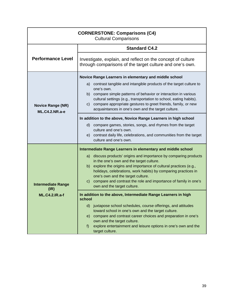| <b>CORNERSTONE: Comparisons (C4)</b><br><b>Cultural Comparisons</b> |                                                                                                                                                                                                                                                                                                                                                                                                                        |
|---------------------------------------------------------------------|------------------------------------------------------------------------------------------------------------------------------------------------------------------------------------------------------------------------------------------------------------------------------------------------------------------------------------------------------------------------------------------------------------------------|
|                                                                     | <b>Standard C4.2</b>                                                                                                                                                                                                                                                                                                                                                                                                   |
| <b>Performance Level</b>                                            | Investigate, explain, and reflect on the concept of culture<br>through comparisons of the target culture and one's own.                                                                                                                                                                                                                                                                                                |
| <b>Novice Range (NR)</b><br><b>ML.C4.2.NR.a-e</b>                   | Novice Range Learners in elementary and middle school<br>contrast tangible and intangible products of the target culture to<br>a)<br>one's own.<br>b) compare simple patterns of behavior or interaction in various<br>cultural settings (e.g., transportation to school, eating habits).<br>compare appropriate gestures to greet friends, family, or new<br>C)<br>acquaintances in one's own and the target culture. |
|                                                                     | In addition to the above, Novice Range Learners in high school<br>compare games, stories, songs, and rhymes from the target<br>d)<br>culture and one's own.<br>e) contrast daily life, celebrations, and communities from the target<br>culture and one's own.                                                                                                                                                         |
|                                                                     | Intermediate Range Learners in elementary and middle school                                                                                                                                                                                                                                                                                                                                                            |
| <b>Intermediate Range</b><br>(IR)                                   | discuss products' origins and importance by comparing products<br>a)<br>in the one's own and the target culture.<br>explore the origins and importance of cultural practices (e.g.,<br>b)<br>holidays, celebrations, work habits) by comparing practices in<br>one's own and the target culture.<br>compare and contrast the role and importance of family in one's<br>$\mathsf{C}$ )<br>own and the target culture.   |
| <b>ML.C4.2.IR.a-f</b>                                               | In addition to the above, Intermediate Range Learners in high<br>scnool                                                                                                                                                                                                                                                                                                                                                |
|                                                                     | $\mathsf{d}$<br>juxtapose school schedules, course offerings, and attitudes<br>toward school in one's own and the target culture.<br>compare and contrast career choices and preparation in one's<br>e)<br>own and the target culture.<br>explore entertainment and leisure options in one's own and the<br>f)<br>target culture.                                                                                      |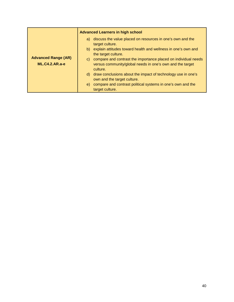|                                                     | <b>Advanced Learners in high school</b>                                                                                                    |
|-----------------------------------------------------|--------------------------------------------------------------------------------------------------------------------------------------------|
| <b>Advanced Range (AR)</b><br><b>ML.C4.2.AR.a-e</b> | a) discuss the value placed on resources in one's own and the<br>target culture.                                                           |
|                                                     | b) explain attitudes toward health and wellness in one's own and<br>the target culture.                                                    |
|                                                     | c) compare and contrast the importance placed on individual needs<br>versus community/global needs in one's own and the target<br>culture. |
|                                                     | d) draw conclusions about the impact of technology use in one's<br>own and the target culture.                                             |
|                                                     | compare and contrast political systems in one's own and the<br>e)<br>target culture.                                                       |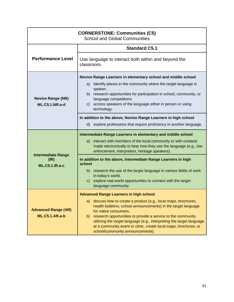| <b>CORNERSTONE: Communities (C5)</b><br><b>School and Global Communities</b> |                                                                                                                                                                                                                                                                                                                                                                                                                       |
|------------------------------------------------------------------------------|-----------------------------------------------------------------------------------------------------------------------------------------------------------------------------------------------------------------------------------------------------------------------------------------------------------------------------------------------------------------------------------------------------------------------|
|                                                                              | <b>Standard C5.1</b>                                                                                                                                                                                                                                                                                                                                                                                                  |
| <b>Performance Level</b>                                                     | Use language to interact both within and beyond the<br>classroom.                                                                                                                                                                                                                                                                                                                                                     |
| <b>Novice Range (NR)</b><br><b>ML.C5.1.NR.a-d</b>                            | Novice Range Learners in elementary school and middle school<br>identify places in the community where the target language is<br>a)<br>spoken.<br>b) research opportunities for participation in school, community, or<br>language competitions.<br>access speakers of the language either in person or using<br>C)<br>technology.                                                                                    |
|                                                                              | In addition to the above, Novice Range Learners in high school<br>d) explore professions that require proficiency in another language.                                                                                                                                                                                                                                                                                |
| <b>Intermediate Range</b><br>(IR)<br><b>ML.C5.1.IR.a-c</b>                   | Intermediate Range Learners in elementary and middle school<br>interact with members of the local community or with contacts<br>a)<br>made electronically to hear how they use the language (e.g., law<br>enforcement, interpreters, heritage speakers).                                                                                                                                                              |
|                                                                              | In addition to the above, Intermediate Range Learners in high<br>school                                                                                                                                                                                                                                                                                                                                               |
|                                                                              | b) research the use of the target language in various fields of work<br>in today's world.<br>explore real-world opportunities to connect with the target<br>$\mathsf{C}$ )<br>language community.                                                                                                                                                                                                                     |
|                                                                              | <b>Advanced Range Learners in high school</b>                                                                                                                                                                                                                                                                                                                                                                         |
| <b>Advanced Range (AR)</b><br><b>ML.C5.1.AR.a-b</b>                          | discuss how to create a product (e.g., local maps, brochures,<br>a)<br>health bulletins, school announcements) in the target language<br>for native consumers.<br>research opportunities to provide a service to the community<br>b)<br>utilizing the target language (e.g., interpreting the target language<br>at a community event or clinic, create local maps, brochures, or<br>school/community announcements). |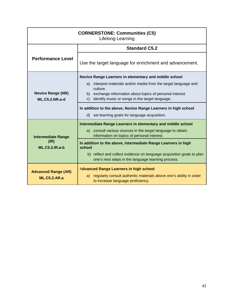| <b>CORNERSTONE: Communities (C5)</b><br>Lifelong Learning  |                                                                                                                                                                                                                 |
|------------------------------------------------------------|-----------------------------------------------------------------------------------------------------------------------------------------------------------------------------------------------------------------|
|                                                            | <b>Standard C5.2</b>                                                                                                                                                                                            |
| <b>Performance Level</b>                                   | Use the target language for enrichment and advancement.                                                                                                                                                         |
|                                                            | Novice Range Learners in elementary and middle school                                                                                                                                                           |
| <b>Novice Range (NR)</b><br><b>ML.C5.2.NR.a-d</b>          | interpret materials and/or media from the target language and<br>a)<br>culture.<br>b) exchange information about topics of personal interest<br>identify music or songs in the target language.<br>$\mathbf{C}$ |
|                                                            | In addition to the above, Novice Range Learners in high school                                                                                                                                                  |
|                                                            | d) set learning goals for language acquisition.                                                                                                                                                                 |
|                                                            | Intermediate Range Learners in elementary and middle school                                                                                                                                                     |
| <b>Intermediate Range</b><br>(IR)<br><b>ML.C5.2.IR.a-b</b> | consult various sources in the target language to obtain<br>a)<br>information on topics of personal interest.                                                                                                   |
|                                                            | In addition to the above, Intermediate Range Learners in high<br>school                                                                                                                                         |
|                                                            | b) reflect and collect evidence on language acquisition goals to plan<br>one's next steps in the language learning process.                                                                                     |
| <b>Advanced Range (AR)</b><br><b>ML.C5.2.AR.a</b>          | <b>Advanced Range Learners in high school</b><br>regularly consult authentic materials above one's ability in order<br>a)<br>to increase language proficiency.                                                  |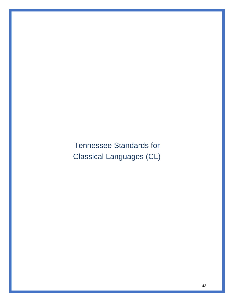Tennessee Standards for Classical Languages (CL)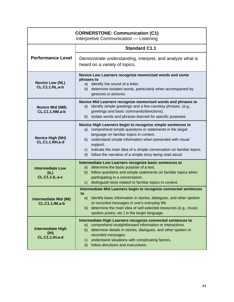| <b>CORNERSTONE: Communication (C1)</b><br>Interpretive Communication - Listening |                                                                                                                                                                                                                                                                                                                                                                                                                |
|----------------------------------------------------------------------------------|----------------------------------------------------------------------------------------------------------------------------------------------------------------------------------------------------------------------------------------------------------------------------------------------------------------------------------------------------------------------------------------------------------------|
| <b>Performance Level</b>                                                         | <b>Standard C1.1</b>                                                                                                                                                                                                                                                                                                                                                                                           |
|                                                                                  | Demonstrate understanding, interpret, and analyze what is<br>heard on a variety of topics.                                                                                                                                                                                                                                                                                                                     |
| <b>Novice Low (NL)</b><br><b>CL.C1.1.NL.a-b</b>                                  | Novice Low Learners recognize memorized words and some<br>phrases to<br>a) identify the sound of a letter.<br>determine isolated words, particularly when accompanied by<br>b)<br>gestures or pictures.                                                                                                                                                                                                        |
| <b>Novice Mid (NM)</b><br><b>CL.C1.1.NM.a-b</b>                                  | Novice Mid Learners recognize memorized words and phrases to<br>identify simple greetings and a few courtesy phrases. (e.g.,<br>a)<br>greetings and basic commands/directions).<br>b) isolate words and phrases learned for specific purposes.                                                                                                                                                                 |
| <b>Novice High (NH)</b><br><b>CL.C1.1.NH.a-d</b>                                 | Novice High Learners begin to recognize simple sentences to<br>comprehend simple questions or statements in the target<br>a)<br>language on familiar topics in context.<br>understand simple information when presented with visual<br>b)<br>support.<br>indicate the main idea of a simple conversation on familiar topics.<br>$\mathsf{C}$<br>follow the narrative of a simple story being read aloud.<br>d) |
| <b>Intermediate Low</b><br>(IL)<br><b>CL.C1.1.IL.a-c</b>                         | Intermediate Low Learners recognize basic sentences to<br>determine the basic purpose of a text.<br>a)<br>follow questions and simple statements on familiar topics when<br>b)<br>participating in a conversation.<br>distinguish texts related to familiar topics in context.<br>$\mathsf{C}$ )                                                                                                               |
| intermediate Mid (IM)<br><b>CL.C1.1.IM.a-b</b>                                   | Intermediate Mid Learners begin to recognize connected sentences<br>to<br>a) identify basic information in stories, dialogues, and other spoken<br>or recorded messages in one's everyday life.<br>b) determine the main idea of self-selected resources (e.g., music,<br>spoken poetry, etc.) in the target language.                                                                                         |
| <b>Intermediate High</b><br>(H)<br><b>CL.C1.1.IH.a-d</b>                         | Intermediate High Learners recognize connected sentences to<br>comprehend straightforward information or interactions.<br>a)<br>determine details in stories, dialogues, and other spoken or<br>b)<br>recorded messages.<br>understand situations with complicating factors.<br>$\mathsf{C}$<br>follow directions and instructions.<br>d)                                                                      |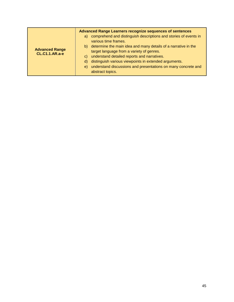|                                                | <b>Advanced Range Learners recognize sequences of sentences</b>                                                                                                                                                                                                                                                                                  |
|------------------------------------------------|--------------------------------------------------------------------------------------------------------------------------------------------------------------------------------------------------------------------------------------------------------------------------------------------------------------------------------------------------|
|                                                | comprehend and distinguish descriptions and stories of events in<br>a)<br>various time frames.                                                                                                                                                                                                                                                   |
| <b>Advanced Range</b><br><b>CL.C1.1.AR.a-e</b> | determine the main idea and many details of a narrative in the<br>b)<br>target language from a variety of genres.<br>understand detailed reports and narratives.<br>$\mathbf{C}$<br>distinguish various viewpoints in extended arguments.<br>d)<br>understand discussions and presentations on many concrete and<br>$\Theta$<br>abstract topics. |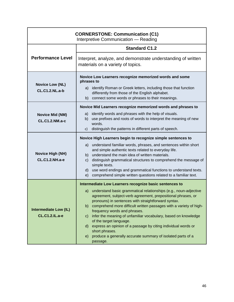| <b>CORNERSTONE: Communication (C1)</b><br>Interpretive Communication - Reading |                                                                                                                                                                                                                                                                                                                                                                                                                                                                                                                                                                                               |
|--------------------------------------------------------------------------------|-----------------------------------------------------------------------------------------------------------------------------------------------------------------------------------------------------------------------------------------------------------------------------------------------------------------------------------------------------------------------------------------------------------------------------------------------------------------------------------------------------------------------------------------------------------------------------------------------|
|                                                                                | <b>Standard C1.2</b>                                                                                                                                                                                                                                                                                                                                                                                                                                                                                                                                                                          |
| <b>Performance Level</b>                                                       | Interpret, analyze, and demonstrate understanding of written<br>materials on a variety of topics.                                                                                                                                                                                                                                                                                                                                                                                                                                                                                             |
| <b>Novice Low (NL)</b><br><b>CL.C1.2.NL.a-b</b>                                | Novice Low Learners recognize memorized words and some<br>phrases to<br>identify Roman or Greek letters, including those that function<br>a)<br>differently from those of the English alphabet.<br>b) connect some words or phrases to their meanings.                                                                                                                                                                                                                                                                                                                                        |
| <b>Novice Mid (NM)</b><br><b>CL.C1.2.NM.a-c</b>                                | Novice Mid Learners recognize memorized words and phrases to<br>identify words and phrases with the help of visuals.<br>a)<br>use prefixes and roots of words to interpret the meaning of new<br>b)<br>words.<br>distinguish the patterns in different parts of speech.<br>c)                                                                                                                                                                                                                                                                                                                 |
|                                                                                | Novice High Learners begin to recognize simple sentences to                                                                                                                                                                                                                                                                                                                                                                                                                                                                                                                                   |
| <b>Novice High (NH)</b><br><b>CL.C1.2.NH.a-e</b>                               | understand familiar words, phrases, and sentences within short<br>a)<br>and simple authentic texts related to everyday life.<br>understand the main idea of written materials.<br>b)<br>distinguish grammatical structures to comprehend the message of<br>$\mathsf{C}$ )<br>simple texts.<br>use word endings and grammatical functions to understand texts.<br>d)<br>comprehend simple written questions related to a familiar text.<br>e)                                                                                                                                                  |
|                                                                                | Intermediate Low Learners recognize basic sentences to                                                                                                                                                                                                                                                                                                                                                                                                                                                                                                                                        |
| <b>Intermediate Low (IL)</b><br><b>CL.C1.2.IL.a-e</b>                          | understand basic grammatical relationships (e.g., noun-adjective<br>a)<br>agreement, subject-verb agreement, prepositional phrases, or<br>pronouns) in sentences with straightforward syntax.<br>comprehend more difficult written passages with a variety of high-<br>b)<br>frequency words and phrases.<br>infer the meaning of unfamiliar vocabulary, based on knowledge<br>$\mathsf{C}$<br>of the target language.<br>d) express an opinion of a passage by citing individual words or<br>short phrases.<br>produce a generally accurate summary of isolated parts of a<br>e)<br>passage. |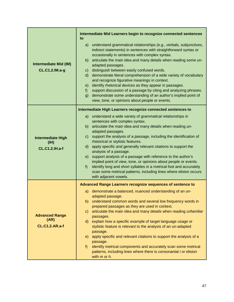|                                                          | Intermediate Mid Learners begin to recognize connected sentences<br>to                                                                                                                                                                                                                                                                                                                                                                                                                                                                                                                                                                                                                                                                                       |
|----------------------------------------------------------|--------------------------------------------------------------------------------------------------------------------------------------------------------------------------------------------------------------------------------------------------------------------------------------------------------------------------------------------------------------------------------------------------------------------------------------------------------------------------------------------------------------------------------------------------------------------------------------------------------------------------------------------------------------------------------------------------------------------------------------------------------------|
| <b>Intermediate Mid (IM)</b><br>CL.C1.2.IM.a-g           | understand grammatical relationships (e.g., verbals, subjunctives,<br>a)<br>indirect statements) in sentences with straightforward syntax or<br>occasionally in sentences with complex syntax.<br>articulate the main idea and many details when reading some un-<br>b)<br>adapted passages.<br>distinguish between easily confused words.<br>C)<br>demonstrate literal comprehension of a wide variety of vocabulary<br>$\mathsf{d}$<br>and recognize figurative meanings in context.<br>identify rhetorical devices as they appear in passages.<br>e)<br>support discussion of a passage by citing and analyzing phrases.<br>f)<br>demonstrate some understanding of an author's implied point of<br>g)<br>view, tone, or opinions about people or events. |
|                                                          | Intermediate High Learners recognize connected sentences to                                                                                                                                                                                                                                                                                                                                                                                                                                                                                                                                                                                                                                                                                                  |
| <b>Intermediate High</b><br>(H)<br><b>CL.C1.2.IH.a-f</b> | understand a wide variety of grammatical relationships in<br>a)<br>sentences with complex syntax.<br>articulate the main idea and many details when reading un-<br>b)<br>adapted passages.<br>support the analysis of a passage, including the identification of<br>C)<br>rhetorical or stylistic features.<br>apply specific and generally relevant citations to support the<br>d)<br>analysis of a passage.<br>support analysis of a passage with reference to the author's<br>e)<br>implied point of view, tone, or opinions about people or events.<br>identify long and short syllables in a metrical foot and accurately<br>f<br>scan some metrical patterns, including lines where elision occurs<br>with adjacent vowels.                            |
|                                                          | Advanced Range Learners recognize sequences of sentence to                                                                                                                                                                                                                                                                                                                                                                                                                                                                                                                                                                                                                                                                                                   |
| <b>Advanced Range</b><br>(AR)<br><b>CL.C1.2.AR.a-f</b>   | demonstrate a balanced, nuanced understanding of an un-<br>a)<br>adapted passage.<br>understand common words and several low frequency words in<br>b)<br>prepared passages as they are used in context.<br>articulate the main idea and many details when reading unfamiliar<br>C)<br>passages.<br>explain how a specific example of target language usage or<br>d)<br>stylistic feature is relevant to the analysis of an un-adapted<br>passage.<br>apply specific and relevant citations to support the analysis of a<br>e)<br>passage.<br>$f$ )<br>identify metrical components and accurately scan some metrical<br>patterns, including lines where there is consonantal <i>i</i> or elision<br>with $m$ or $h$ .                                        |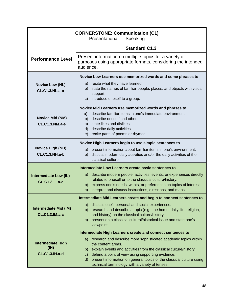| <b>CORNERSTONE: Communication (C1)</b><br>Presentational - Speaking |                                                                                                                                                                                                                                                                                                                                                                                                                                             |
|---------------------------------------------------------------------|---------------------------------------------------------------------------------------------------------------------------------------------------------------------------------------------------------------------------------------------------------------------------------------------------------------------------------------------------------------------------------------------------------------------------------------------|
|                                                                     | <b>Standard C1.3</b>                                                                                                                                                                                                                                                                                                                                                                                                                        |
| <b>Performance Level</b>                                            | Present information on multiple topics for a variety of<br>purposes using appropriate formats, considering the intended<br>audience.                                                                                                                                                                                                                                                                                                        |
| <b>Novice Low (NL)</b><br><b>CL.C1.3.NL.a-c</b>                     | Novice Low Learners use memorized words and some phrases to<br>a) recite what they have learned.<br>state the names of familiar people, places, and objects with visual<br>b)<br>support.<br>c) introduce oneself to a group.                                                                                                                                                                                                               |
| <b>Novice Mid (NM)</b><br><b>CL.C1.3.NM.a-e</b>                     | Novice Mid Learners use memorized words and phrases to<br>describe familiar items in one's immediate environment.<br>a)<br>describe oneself and others.<br>b)<br>state likes and dislikes.<br>C)<br>describe daily activities.<br>d)<br>recite parts of poems or rhymes.<br>e)                                                                                                                                                              |
| <b>Novice High (NH)</b><br><b>CL.C1.3.NH.a-b</b>                    | Novice High Learners begin to use simple sentences to<br>present information about familiar items in one's environment.<br>a)<br>b) discuss modern daily activities and/or the daily activities of the<br>classical culture.                                                                                                                                                                                                                |
| <b>Intermediate Low (IL)</b><br><b>CL.C1.3.IL.a-c</b>               | Intermediate Low Learners create basic sentences to<br>describe modern people, activities, events, or experiences directly<br>a)<br>related to oneself or to the classical culture/history.<br>express one's needs, wants, or preferences on topics of interest.<br>b)<br>interpret and discuss instructions, directions, and maps.<br>c)                                                                                                   |
| <b>Intermediate Mid (IM)</b><br><b>CL.C1.3.IM.a-c</b>               | Intermediate Mid Learners create and begin to connect sentences to<br>discuss one's personal and social experiences.<br>a)<br>b) research and describe a topic (e.g., the home, daily life, religion,<br>and history) on the classical culture/history.<br>present on a classical cultural/historical issue and state one's<br>$\mathsf{c}$<br>viewpoint.                                                                                   |
| <b>Intermediate High</b><br>(H)<br><b>CL.C1.3.IH.a-d</b>            | Intermediate High Learners create and connect sentences to<br>research and describe more sophisticated academic topics within<br>a)<br>the content areas.<br>explain events and activities from the classical culture/history.<br>b).<br>defend a point of view using supporting evidence.<br>C)<br>present information on general topics of the classical culture using<br>$\mathsf{d}$<br>technical terminology with a variety of tenses. |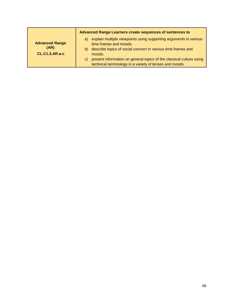|                                                        | Advanced Range Learners create sequences of sentences to                                                                                                                                                                                                                                                                             |
|--------------------------------------------------------|--------------------------------------------------------------------------------------------------------------------------------------------------------------------------------------------------------------------------------------------------------------------------------------------------------------------------------------|
| <b>Advanced Range</b><br>(AR)<br><b>CL.C1.3.AR.a-c</b> | explain multiple viewpoints using supporting arguments in various<br>a)<br>time frames and moods.<br>describe topics of social concern in various time frames and<br>b)<br>moods.<br>present information on general topics of the classical culture using<br>$\mathbf{C}$<br>technical terminology in a variety of tenses and moods. |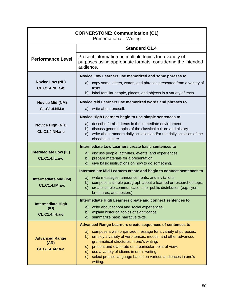| <b>CORNERSTONE: Communication (C1)</b><br><b>Presentational - Writing</b> |                                                                                                                                                        |
|---------------------------------------------------------------------------|--------------------------------------------------------------------------------------------------------------------------------------------------------|
|                                                                           | <b>Standard C1.4</b>                                                                                                                                   |
| <b>Performance Level</b>                                                  | Present information on multiple topics for a variety of<br>purposes using appropriate formats, considering the intended<br>audience.                   |
|                                                                           | Novice Low Learners use memorized and some phrases to                                                                                                  |
| <b>Novice Low (NL)</b><br><b>CL.C1.4.NL.a-b</b>                           | a) copy some letters, words, and phrases presented from a variety of<br>texts.<br>b) label familiar people, places, and objects in a variety of texts. |
| <b>Novice Mid (NM)</b>                                                    | Novice Mid Learners use memorized words and phrases to                                                                                                 |
| <b>CL.C1.4.NM.a</b>                                                       | a) write about oneself.                                                                                                                                |
|                                                                           | Novice High Learners begin to use simple sentences to                                                                                                  |
| <b>Novice High (NH)</b>                                                   | a) describe familiar items in the immediate environment.<br>b) discuss general topics of the classical culture and history.                            |
| <b>CL.C1.4.NH.a-c</b>                                                     | write about modern daily activities and/or the daily activities of the<br>$\mathsf{C}$<br>classical culture.                                           |
|                                                                           | Intermediate Low Learners create basic sentences to                                                                                                    |
| <b>Intermediate Low (IL)</b><br><b>CL.C1.4.IL.a-c</b>                     | discuss people, activities, events, and experiences.<br>a)<br>prepare materials for a presentation.<br>b)                                              |
|                                                                           | give basic instructions on how to do something.<br>$\mathsf{C}$                                                                                        |
|                                                                           | Intermediate Mid Learners create and begin to connect sentences to                                                                                     |
| <b>Intermediate Mid (IM)</b>                                              | a) write messages, announcements, and invitations.<br>b) compose a simple paragraph about a learned or researched topic.                               |
| <b>CL.C1.4.IM.a-c</b>                                                     | create simple communications for public distribution (e.g. flyers,<br>$\mathsf{C}$<br>brochures, and posters).                                         |
|                                                                           | Intermediate High Learners create and connect sentences to                                                                                             |
| <b>Intermediate High</b><br>(IH)                                          | write about school and social experiences.<br>a)                                                                                                       |
| <b>CL.C1.4.IH.a-c</b>                                                     | explain historical topics of significance.<br>b)<br>summarize basic narrative texts.<br>$\mathbf{C}$                                                   |
|                                                                           | <b>Advanced Range Learners create sequences of sentences to</b>                                                                                        |
|                                                                           | compose a well-organized message for a variety of purposes.<br>a)<br>employ a variety of verb tenses, moods, and other advanced<br>b)                  |
| <b>Advanced Range</b><br>(AR)                                             | grammatical structures in one's writing.                                                                                                               |
| <b>CL.C1.4.AR.a-e</b>                                                     | present and elaborate on a particular point of view.<br>$\mathsf{C}$<br>use a variety of idioms in one's writing.<br>$\mathsf{d}$                      |
|                                                                           | select precise language based on various audiences in one's<br>e)<br>writing.                                                                          |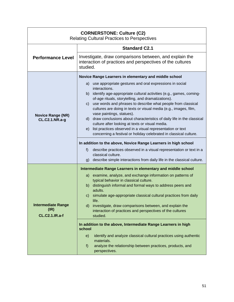| <b>CORNERSTONE: Culture (C2)</b><br><b>Relating Cultural Practices to Perspectives</b> |                                                                                                                                                                                                                                                                                                                                                                                                                                                                                                                                                                                                                                                                                                                                                                                                                                |
|----------------------------------------------------------------------------------------|--------------------------------------------------------------------------------------------------------------------------------------------------------------------------------------------------------------------------------------------------------------------------------------------------------------------------------------------------------------------------------------------------------------------------------------------------------------------------------------------------------------------------------------------------------------------------------------------------------------------------------------------------------------------------------------------------------------------------------------------------------------------------------------------------------------------------------|
|                                                                                        | <b>Standard C2.1</b>                                                                                                                                                                                                                                                                                                                                                                                                                                                                                                                                                                                                                                                                                                                                                                                                           |
| <b>Performance Level</b>                                                               | Investigate, draw comparisons between, and explain the<br>interaction of practices and perspectives of the cultures<br>studied.                                                                                                                                                                                                                                                                                                                                                                                                                                                                                                                                                                                                                                                                                                |
|                                                                                        | Novice Range Learners in elementary and middle school                                                                                                                                                                                                                                                                                                                                                                                                                                                                                                                                                                                                                                                                                                                                                                          |
| <b>Novice Range (NR)</b><br><b>CL.C2.1.NR.a-g</b>                                      | use appropriate gestures and oral expressions in social<br>a)<br>interactions.<br>b) identify age-appropriate cultural activities (e.g., games, coming-<br>of-age rituals, storytelling, and dramatizations).<br>use words and phrases to describe what people from classical<br>C)<br>cultures are doing in texts or visual media (e.g., images, film,<br>vase paintings, statues).<br>d) draw conclusions about characteristics of daily life in the classical<br>culture after looking at texts or visual media.<br>e) list practices observed in a visual representation or text<br>concerning a festival or holiday celebrated in classical culture.<br>In addition to the above, Novice Range Learners in high school<br>f)<br>describe practices observed in a visual representation or text in a<br>classical culture. |
|                                                                                        | describe simple interactions from daily life in the classical culture.<br>g)                                                                                                                                                                                                                                                                                                                                                                                                                                                                                                                                                                                                                                                                                                                                                   |
| <b>Intermediate Range</b><br>(IR)<br><b>CL.C2.1.IR.a-f</b>                             | Intermediate Range Learners in elementary and middle school<br>examine, analyze, and exchange information on patterns of<br>a)<br>typical behavior in classical culture.<br>b) distinguish informal and formal ways to address peers and<br>adults.<br>simulate age-appropriate classical cultural practices from daily<br>$\mathsf{C}$<br>life.<br>investigate, draw comparisons between, and explain the<br>$\mathsf{d}$<br>interaction of practices and perspectives of the cultures<br>studied.<br>In addition to the above, Intermediate Range Learners in high<br>school<br>identify and analyze classical cultural practices using authentic<br>e)<br>materials.<br>analyze the relationship between practices, products, and<br>f<br>perspectives.                                                                     |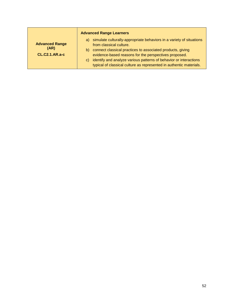|                                                        | <b>Advanced Range Learners</b>                                                                                                                                                                                                  |
|--------------------------------------------------------|---------------------------------------------------------------------------------------------------------------------------------------------------------------------------------------------------------------------------------|
| <b>Advanced Range</b><br>(AR)<br><b>CL.C2.1.AR.a-c</b> | simulate culturally-appropriate behaviors in a variety of situations<br>a)<br>from classical culture.<br>b) connect classical practices to associated products, giving<br>evidence-based reasons for the perspectives proposed. |
|                                                        | c) identify and analyze various patterns of behavior or interactions<br>typical of classical culture as represented in authentic materials.                                                                                     |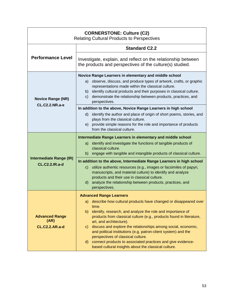| <b>CORNERSTONE: Culture (C2)</b><br><b>Relating Cultural Products to Perspectives</b> |                                                                                                                              |
|---------------------------------------------------------------------------------------|------------------------------------------------------------------------------------------------------------------------------|
|                                                                                       | <b>Standard C2.2</b>                                                                                                         |
| <b>Performance Level</b>                                                              | Investigate, explain, and reflect on the relationship between<br>the products and perspectives of the culture(s) studied.    |
|                                                                                       | Novice Range Learners in elementary and middle school                                                                        |
|                                                                                       | a) observe, discuss, and produce types of artwork, crafts, or graphic                                                        |
|                                                                                       | representations made within the classical culture.<br>b) identify cultural products and their purposes in classical culture. |
| <b>Novice Range (NR)</b>                                                              | demonstrate the relationship between products, practices, and<br>$\mathsf{C}$<br>perspectives.                               |
| <b>CL.C2.2.NR.a-e</b>                                                                 | In addition to the above, Novice Range Learners in high school                                                               |
|                                                                                       | d) identify the author and place of origin of short poems, stories, and                                                      |
|                                                                                       | plays from the classical culture.                                                                                            |
|                                                                                       | e) provide simple reasons for the role and importance of products<br>from the classical culture.                             |
|                                                                                       | Intermediate Range Learners in elementary and middle school                                                                  |
|                                                                                       | identify and investigate the functions of tangible products of<br>a)<br>classical culture.                                   |
|                                                                                       | b) engage with tangible and intangible products of classical culture.                                                        |
| <b>Intermediate Range (IR)</b><br><b>CL.C2.2.IR.a-d</b>                               | In addition to the above, Intermediate Range Learners in high school                                                         |
|                                                                                       | utilize authentic resources (e.g., images or facsimiles of papyri,<br>$\mathbf{C}$                                           |
|                                                                                       | manuscripts, and material culture) to identify and analyze<br>products and their use in classical culture.                   |
|                                                                                       | analyze the relationship between products, practices, and<br>$\mathsf{d}$                                                    |
|                                                                                       | perspectives.                                                                                                                |
|                                                                                       | <b>Advanced Range Learners</b>                                                                                               |
|                                                                                       | describe how cultural products have changed or disappeared over<br>a)<br>time.                                               |
|                                                                                       | identify, research, and analyze the role and importance of<br>b)                                                             |
| <b>Advanced Range</b>                                                                 | products from classical culture (e.g., products found in literature,                                                         |
| (AR)<br><b>CL.C2.2.AR.a-d</b>                                                         | art, and architecture).<br>discuss and explore the relationships among social, economic,<br>C)                               |
|                                                                                       | and political institutions (e.g. patron-client system) and the<br>perspectives of classical culture.                         |
|                                                                                       | connect products to associated practices and give evidence-<br>d)<br>based cultural insights about the classical culture.    |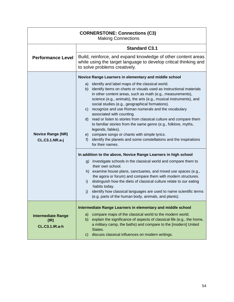| <b>CORNERSTONE: Connections (C3)</b><br><b>Making Connections</b> |                                                                                                                                                                                                                                                                                                                                                                                                                                                                                                                                                                                                                                                                                                                                                                |
|-------------------------------------------------------------------|----------------------------------------------------------------------------------------------------------------------------------------------------------------------------------------------------------------------------------------------------------------------------------------------------------------------------------------------------------------------------------------------------------------------------------------------------------------------------------------------------------------------------------------------------------------------------------------------------------------------------------------------------------------------------------------------------------------------------------------------------------------|
|                                                                   | <b>Standard C3.1</b>                                                                                                                                                                                                                                                                                                                                                                                                                                                                                                                                                                                                                                                                                                                                           |
| <b>Performance Level</b>                                          | Build, reinforce, and expand knowledge of other content areas<br>while using the target language to develop critical thinking and<br>to solve problems creatively.                                                                                                                                                                                                                                                                                                                                                                                                                                                                                                                                                                                             |
|                                                                   | Novice Range Learners in elementary and middle school                                                                                                                                                                                                                                                                                                                                                                                                                                                                                                                                                                                                                                                                                                          |
| <b>Novice Range (NR)</b><br><b>CL.C3.1.NR.a-j</b>                 | identify and label maps of the classical world.<br>a)<br>identify items on charts or visuals used as instructional materials<br>b)<br>in other content areas, such as math (e.g., measurements),<br>science (e.g., animals), the arts (e.g., musical instruments), and<br>social studies (e.g., geographical formations).<br>recognize and use Roman numerals and the vocabulary<br>$\mathsf{C}$<br>associated with counting.<br>read or listen to stories from classical culture and compare them<br>$\mathsf{d}$<br>to familiar stories from the same genre (e.g., folklore, myths,<br>legends, fables).<br>compare songs or chants with simple lyrics.<br>e)<br>identify the planets and some constellations and the inspirations<br>f)<br>for their names. |
|                                                                   | In addition to the above, Novice Range Learners in high school                                                                                                                                                                                                                                                                                                                                                                                                                                                                                                                                                                                                                                                                                                 |
|                                                                   | investigate schools in the classical world and compare them to<br>g)<br>their own school.<br>examine house plans, sanctuaries, and mixed use spaces (e.g.,<br>h)<br>the agora or forum) and compare them with modern structures.<br>distinguish how the diets of classical culture relate to our eating<br>i)<br>habits today.<br>identify how classical languages are used to name scientific terms<br>j)<br>(e.g. parts of the human body, animals, and plants).                                                                                                                                                                                                                                                                                             |
| <b>Intermediate Range</b><br>(IR)<br><b>CL.C3.1.IR.a-h</b>        | Intermediate Range Learners in elementary and middle school<br>compare maps of the classical world to the modern world.<br>a)<br>explain the significance of aspects of classical life (e.g., the home,<br>b)<br>a military camp, the baths) and compare to the [modern] United<br>States.<br>discuss classical influences on modern writings.<br>$\mathsf{C}$                                                                                                                                                                                                                                                                                                                                                                                                 |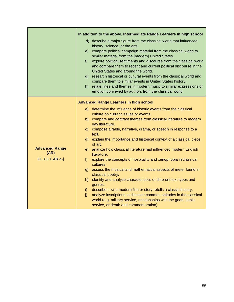|                               | In addition to the above, Intermediate Range Learners in high school                                                                                                                                                                                                     |
|-------------------------------|--------------------------------------------------------------------------------------------------------------------------------------------------------------------------------------------------------------------------------------------------------------------------|
|                               | d) describe a major figure from the classical world that influenced<br>history, science, or the arts.                                                                                                                                                                    |
|                               | e) compare political campaign material from the classical world to<br>similar material from the [modern] United States.                                                                                                                                                  |
|                               | explore political sentiments and discourse from the classical world<br>f<br>and compare them to recent and current political discourse in the<br>United States and around the world.                                                                                     |
|                               | g) research historical or cultural events from the classical world and<br>compare them to similar events in United States history.                                                                                                                                       |
|                               | relate lines and themes in modern music to similar expressions of<br>h) -<br>emotion conveyed by authors from the classical world.                                                                                                                                       |
|                               | <b>Advanced Range Learners in high school</b>                                                                                                                                                                                                                            |
|                               | a) determine the influence of historic events from the classical<br>culture on current issues or events.                                                                                                                                                                 |
|                               | b) compare and contrast themes from classical literature to modern<br>day literature.                                                                                                                                                                                    |
|                               | c) compose a fable, narrative, drama, or speech in response to a<br>text.                                                                                                                                                                                                |
|                               | d) explain the importance and historical context of a classical piece<br>of art.                                                                                                                                                                                         |
| <b>Advanced Range</b><br>(AR) | analyze how classical literature had influenced modern English<br>e) -<br>literature.                                                                                                                                                                                    |
| <b>CL.C3.1.AR.a-j</b>         | explore the concepts of hospitality and xenophobia in classical<br>$f$ )<br>cultures.                                                                                                                                                                                    |
|                               | assess the musical and mathematical aspects of meter found in<br>g)<br>classical poetry.                                                                                                                                                                                 |
|                               | identify and analyze characteristics of different text types and<br>h)<br>genres.                                                                                                                                                                                        |
|                               | describe how a modern film or story retells a classical story.<br>$\mathbf{i}$<br>analyze inscriptions to discover common attitudes in the classical<br>i)<br>world (e.g. military service, relationships with the gods, public<br>service, or death and commemoration). |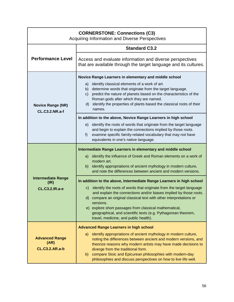| <b>CORNERSTONE: Connections (C3)</b><br>Acquiring Information and Diverse Perspectives |                                                                                                                                                                                                                                                                                                                                                                                                     |
|----------------------------------------------------------------------------------------|-----------------------------------------------------------------------------------------------------------------------------------------------------------------------------------------------------------------------------------------------------------------------------------------------------------------------------------------------------------------------------------------------------|
|                                                                                        | <b>Standard C3.2</b>                                                                                                                                                                                                                                                                                                                                                                                |
| <b>Performance Level</b>                                                               | Access and evaluate information and diverse perspectives<br>that are available through the target language and its cultures.                                                                                                                                                                                                                                                                        |
| <b>Novice Range (NR)</b><br><b>CL.C3.2.NR.a-f</b>                                      | Novice Range Learners in elementary and middle school<br>identify classical elements of a work of art.<br>a)<br>determine words that originate from the target language.<br>b)<br>predict the nature of planets based on the characteristics of the<br>C)<br>Roman gods after which they are named.<br>identify the properties of plants based the classical roots of their<br>d)<br>names.         |
|                                                                                        | In addition to the above, Novice Range Learners in high school<br>identify the roots of words that originate from the target language<br>e)<br>and begin to explain the connections implied by those roots.<br>examine specific family-related vocabulary that may not have<br>f)<br>equivalents in one's native language.                                                                          |
|                                                                                        | Intermediate Range Learners in elementary and middle school                                                                                                                                                                                                                                                                                                                                         |
|                                                                                        | identify the influence of Greek and Roman elements on a work of<br>a)<br>modern art.<br>identify appropriations of ancient mythology in modern culture,<br>b)<br>and note the differences between ancient and modern versions.                                                                                                                                                                      |
| <b>Intermediate Range</b><br>(IR)                                                      | In addition to the above, Intermediate Range Learners in high school                                                                                                                                                                                                                                                                                                                                |
| <b>CL.C3.2.IR.a-e</b>                                                                  | c) identify the roots of words that originate from the target language<br>and explain the connections and/or biases implied by those roots.<br>d) compare an original classical text with other interpretations or<br>versions.<br>e) explore short passages from classical mathematical,<br>geographical, and scientific texts (e.g. Pythagorean theorem,<br>travel, medicine, and public health). |
|                                                                                        | <b>Advanced Range Learners in high school</b>                                                                                                                                                                                                                                                                                                                                                       |
| <b>Advanced Range</b><br>(AR)<br><b>CL.C3.2.AR.a-b</b>                                 | identify appropriations of ancient mythology in modern culture,<br>a)<br>noting the differences between ancient and modern versions, and<br>theorize reasons why modern artists may have made decisions to<br>diverge from the traditional form.<br>compare Stoic and Epicurean philosophies with modern-day<br>b)<br>philosophies and discuss perspectives on how to live life well.               |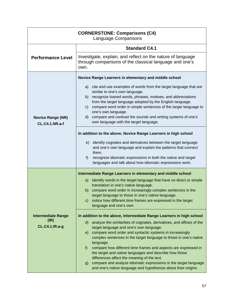| <b>CORNERSTONE: Comparisons (C4)</b><br><b>Language Comparisons</b> |                                                                                                                                                                                                                                         |
|---------------------------------------------------------------------|-----------------------------------------------------------------------------------------------------------------------------------------------------------------------------------------------------------------------------------------|
|                                                                     | <b>Standard C4.1</b>                                                                                                                                                                                                                    |
| <b>Performance Level</b>                                            | Investigate, explain, and reflect on the nature of language<br>through comparisons of the classical language and one's<br>own.                                                                                                          |
|                                                                     | Novice Range Learners in elementary and middle school                                                                                                                                                                                   |
| <b>Novice Range (NR)</b><br><b>CL.C4.1.NR.a-f</b>                   | a) cite and use examples of words from the target language that are<br>similar to one's own language.<br>recognize loaned words, phrases, mottoes, and abbreviations<br>b)<br>from the target language adopted by the English language. |
|                                                                     | compare word order in simple sentences of the target language to<br>C)<br>one's own language.<br>compare and contrast the sounds and writing systems of one's<br>d)<br>own language with the target language.                           |
|                                                                     | In addition to the above, Novice Range Learners in high school                                                                                                                                                                          |
|                                                                     | identify cognates and derivatives between the target language<br>e)<br>and one's own language and explain the patterns that connect<br>them.                                                                                            |
|                                                                     | recognize idiomatic expressions in both the native and target<br>f)<br>languages and talk about how idiomatic expressions work.                                                                                                         |
|                                                                     | Intermediate Range Learners in elementary and middle school                                                                                                                                                                             |
|                                                                     | identify words in the target language that have no direct or simple<br>a)                                                                                                                                                               |
|                                                                     | translation in one's native language.<br>compare word order in increasingly complex sentences in the<br>b)                                                                                                                              |
|                                                                     | target language to those in one's native language.<br>notice how different time frames are expressed in the target<br>$\mathsf{C}$<br>language and one's own.                                                                           |
| <b>Intermediate Range</b>                                           | In addition to the above, Intermediate Range Learners in high school                                                                                                                                                                    |
| (IR)<br><b>CL.C4.1.IR.a-g</b>                                       | analyze the similarities of cognates, derivatives, and affixes of the<br>$\mathsf{d}$<br>target language and one's own language.                                                                                                        |
|                                                                     | compare word order and syntactic systems in increasingly<br>e)<br>complex sentences in the target language to those in one's native<br>language.                                                                                        |
|                                                                     | compare how different time frames and aspects are expressed in<br>f<br>the target and native languages and describe how those<br>differences affect the meaning of the text.                                                            |
|                                                                     | compare and analyze idiomatic expressions in the target language<br>g)<br>and one's native language and hypothesize about their origins.                                                                                                |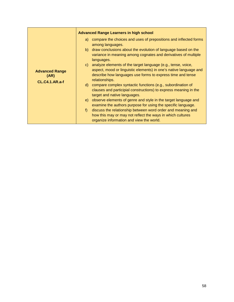|                                                        | <b>Advanced Range Learners in high school</b>                                                                                                                                                                                                                                                                                                              |
|--------------------------------------------------------|------------------------------------------------------------------------------------------------------------------------------------------------------------------------------------------------------------------------------------------------------------------------------------------------------------------------------------------------------------|
| <b>Advanced Range</b><br>(AR)<br><b>CL.C4.1.AR.a-f</b> | a) compare the choices and uses of prepositions and inflected forms<br>among languages.                                                                                                                                                                                                                                                                    |
|                                                        | b) draw conclusions about the evolution of language based on the<br>variance in meaning among cognates and derivatives of multiple<br>languages.                                                                                                                                                                                                           |
|                                                        | c) analyze elements of the target language (e.g., tense, voice,<br>aspect, mood or linguistic elements) in one's native language and<br>describe how languages use forms to express time and tense<br>relationships.<br>d) compare complex syntactic functions (e.g., subordination of<br>clauses and participial constructions) to express meaning in the |
|                                                        | target and native languages.<br>observe elements of genre and style in the target language and<br>e)<br>examine the authors purpose for using the specific language.<br>discuss the relationship between word order and meaning and<br>f<br>how this may or may not reflect the ways in which cultures<br>organize information and view the world.         |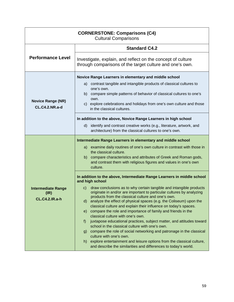| <b>CORNERSTONE: Comparisons (C4)</b><br><b>Cultural Comparisons</b> |                                                                                                                                                                                                                    |  |  |
|---------------------------------------------------------------------|--------------------------------------------------------------------------------------------------------------------------------------------------------------------------------------------------------------------|--|--|
| <b>Performance Level</b>                                            | <b>Standard C4.2</b>                                                                                                                                                                                               |  |  |
|                                                                     | Investigate, explain, and reflect on the concept of culture<br>through comparisons of the target culture and one's own.                                                                                            |  |  |
|                                                                     | Novice Range Learners in elementary and middle school                                                                                                                                                              |  |  |
| <b>Novice Range (NR)</b><br><b>CL.C4.2.NR.a-d</b>                   | contrast tangible and intangible products of classical cultures to<br>a)                                                                                                                                           |  |  |
|                                                                     | one's own.<br>compare simple patterns of behavior of classical cultures to one's<br>b).                                                                                                                            |  |  |
|                                                                     | own.<br>c) explore celebrations and holidays from one's own culture and those                                                                                                                                      |  |  |
|                                                                     | in the classical cultures.                                                                                                                                                                                         |  |  |
|                                                                     | In addition to the above, Novice Range Learners in high school                                                                                                                                                     |  |  |
|                                                                     | identify and contrast creative works (e.g., literature, artwork, and<br>d)                                                                                                                                         |  |  |
|                                                                     | architecture) from the classical cultures to one's own.                                                                                                                                                            |  |  |
|                                                                     | Intermediate Range Learners in elementary and middle school                                                                                                                                                        |  |  |
|                                                                     | examine daily routines of one's own culture in contrast with those in<br>a)<br>the classical culture.                                                                                                              |  |  |
|                                                                     | b) compare characteristics and attributes of Greek and Roman gods,                                                                                                                                                 |  |  |
|                                                                     | and contrast them with religious figures and values in one's own<br>culture.                                                                                                                                       |  |  |
|                                                                     | In addition to the above, Intermediate Range Learners in middle school<br>and high school                                                                                                                          |  |  |
| <b>Intermediate Range</b><br>(IR)                                   | draw conclusions as to why certain tangible and intangible products<br>$\mathsf{C}$<br>originate in and/or are important to particular cultures by analyzing<br>products from the classical culture and one's own. |  |  |
| <b>CL.C4.2.IR.a-h</b>                                               | analyze the effect of physical spaces (e.g. the Coliseum) upon the<br>$\mathsf{d}$                                                                                                                                 |  |  |
|                                                                     | classical culture and explain their influence on today's spaces.<br>compare the role and importance of family and friends in the<br>e)                                                                             |  |  |
|                                                                     | classical culture with one's own.                                                                                                                                                                                  |  |  |
|                                                                     | juxtapose educational practices, subject matter, and attitudes toward<br>f)<br>school in the classical culture with one's own.                                                                                     |  |  |
|                                                                     | compare the role of social networking and patronage in the classical<br>g)<br>culture with one's own.                                                                                                              |  |  |
|                                                                     | explore entertainment and leisure options from the classical culture,<br>h)                                                                                                                                        |  |  |
|                                                                     | and describe the similarities and differences to today's world.                                                                                                                                                    |  |  |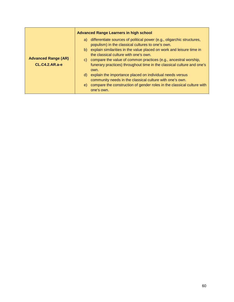|                                                     | <b>Advanced Range Learners in high school</b>                                                                                     |
|-----------------------------------------------------|-----------------------------------------------------------------------------------------------------------------------------------|
| <b>Advanced Range (AR)</b><br><b>CL.C4.2.AR.a-e</b> | differentiate sources of political power (e.g., oligarchic structures,<br>a)<br>populism) in the classical cultures to one's own. |
|                                                     | b) explain similarities in the value placed on work and leisure time in<br>the classical culture with one's own.                  |
|                                                     | c) compare the value of common practices (e.g., ancestral worship,                                                                |
|                                                     | funerary practices) throughout time in the classical culture and one's<br>own.                                                    |
|                                                     | explain the importance placed on individual needs versus<br>d)<br>community needs in the classical culture with one's own.        |
|                                                     | compare the construction of gender roles in the classical culture with<br>e)<br>one's own.                                        |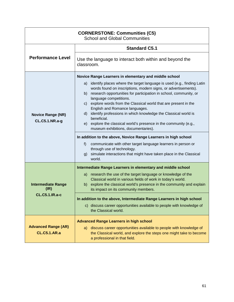| <b>CORNERSTONE: Communities (C5)</b><br><b>School and Global Communities</b> |                                                                                                                                                                                                                                                                                                                                                                                                                                    |  |
|------------------------------------------------------------------------------|------------------------------------------------------------------------------------------------------------------------------------------------------------------------------------------------------------------------------------------------------------------------------------------------------------------------------------------------------------------------------------------------------------------------------------|--|
|                                                                              | <b>Standard C5.1</b>                                                                                                                                                                                                                                                                                                                                                                                                               |  |
| <b>Performance Level</b>                                                     | Use the language to interact both within and beyond the<br>classroom.                                                                                                                                                                                                                                                                                                                                                              |  |
|                                                                              | Novice Range Learners in elementary and middle school                                                                                                                                                                                                                                                                                                                                                                              |  |
| <b>Novice Range (NR)</b><br><b>CL.C5.1.NR.a-g</b>                            | identify places where the target language is used (e.g., finding Latin<br>a)<br>words found on inscriptions, modern signs, or advertisements).<br>b) research opportunities for participation in school, community, or<br>language competitions.<br>explore words from the Classical world that are present in the<br>C)<br>English and Romance languages.<br>identify professions in which knowledge the Classical world is<br>d) |  |
|                                                                              | beneficial.<br>e) explore the classical world's presence in the community (e.g.,<br>museum exhibitions, documentaries).                                                                                                                                                                                                                                                                                                            |  |
|                                                                              | In addition to the above, Novice Range Learners in high school                                                                                                                                                                                                                                                                                                                                                                     |  |
|                                                                              | communicate with other target language learners in person or<br>f)<br>through use of technology.<br>simulate interactions that might have taken place in the Classical<br>g)<br>world.                                                                                                                                                                                                                                             |  |
|                                                                              | Intermediate Range Learners in elementary and middle school                                                                                                                                                                                                                                                                                                                                                                        |  |
| <b>Intermediate Range</b><br>(IR)<br><b>CL.C5.1.IR.a-c</b>                   | a) research the use of the target language or knowledge of the<br>Classical world in various fields of work in today's world.<br>explore the classical world's presence in the community and explain<br>b)<br>its impact on its community members.                                                                                                                                                                                 |  |
|                                                                              | In addition to the above, Intermediate Range Learners in high school                                                                                                                                                                                                                                                                                                                                                               |  |
|                                                                              | c) discuss career opportunities available to people with knowledge of<br>the Classical world.                                                                                                                                                                                                                                                                                                                                      |  |
| <b>Advanced Range (AR)</b><br><b>CL.C5.1.AR.a</b>                            | <b>Advanced Range Learners in high school</b><br>discuss career opportunities available to people with knowledge of<br>a)<br>the Classical world, and explore the steps one might take to become<br>a professional in that field.                                                                                                                                                                                                  |  |